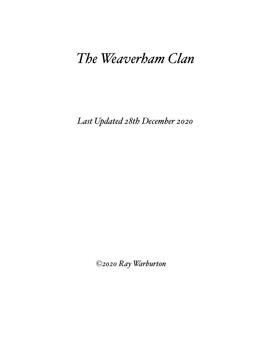# *The Weaverham Clan*

*Last Updated 28th December 2020*

*©2020 Ray Warburton*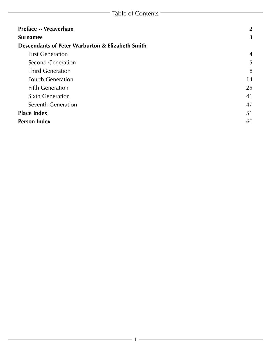| <b>Preface -- Weaverham</b>                      | 2              |
|--------------------------------------------------|----------------|
| <b>Surnames</b>                                  | 3              |
| Descendants of Peter Warburton & Elizabeth Smith |                |
| <b>First Generation</b>                          | $\overline{4}$ |
| <b>Second Generation</b>                         | 5              |
| <b>Third Generation</b>                          | 8              |
| <b>Fourth Generation</b>                         | 14             |
| <b>Fifth Generation</b>                          | 25             |
| <b>Sixth Generation</b>                          | 41             |
| Seventh Generation                               | 47             |
| <b>Place Index</b>                               | 51             |
| <b>Person Index</b>                              | 60             |
|                                                  |                |

<u> 1989 - Johann Barbara, martin a</u>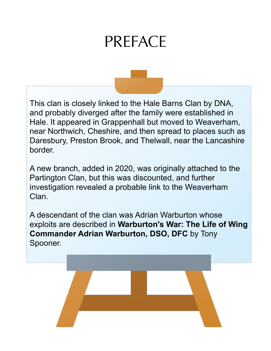# PREFACE

<span id="page-2-0"></span>This clan is closely linked to the Hale Barns Clan by DNA, and probably diverged after the family were established in Hale. It appeared in Grappenhall but moved to Weaverham, near Northwich, Cheshire, and then spread to places such as Daresbury, Preston Brook, and Thelwall, near the Lancashire border.

A new branch, added in 2020, was originally attached to the Partington Clan, but this was discounted, and further investigation revealed a probable link to the Weaverham Clan.

A descendant of the clan was Adrian Warburton whose exploits are described in **Warburton's War: The Life of Wing Commander Adrian Warburton, DSO, DFC** by Tony Spooner.

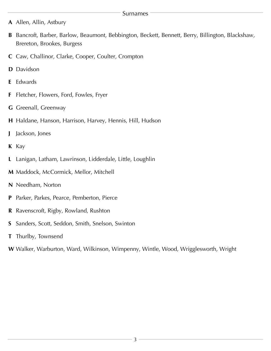#### Surnames

- <span id="page-3-0"></span>**A** [Allen,](#page-60-1) [Allin,](#page-60-2) [Astbury](#page-60-3)
- **B** [Bancroft,](#page-60-4) [Barber](#page-60-5), [Barlow,](#page-60-6) [Beaumont](#page-60-7), [Bebbington,](#page-60-8) [Beckett,](#page-60-9) [Bennett,](#page-60-10) [Berry](#page-60-11), [Billington,](#page-60-12) [Blackshaw,](#page-60-13) [Brereton,](#page-60-14) [Brookes,](#page-60-15) [Burgess](#page-60-16)
- **C** [Caw](#page-60-17), [Challinor](#page-60-18), [Clarke,](#page-60-19) [Cooper](#page-60-20), [Coulter](#page-60-21), [Crompton](#page-60-22)
- **D** [Davidson](#page-60-23)
- **E** [Edwards](#page-60-24)
- **F** [Fletcher,](#page-60-25) [Flowers,](#page-60-26) [Ford,](#page-60-27) [Fowles](#page-60-28), [Fryer](#page-60-29)
- **G** [Greenall](#page-60-30), [Greenway](#page-61-0)
- **H** [Haldane,](#page-61-1) [Hanson](#page-61-2), [Harrison,](#page-61-3) [Harvey](#page-61-4), [Hennis](#page-61-5), [Hill,](#page-61-6) [Hudson](#page-61-7)
- **J** [Jackson](#page-61-8), [Jones](#page-61-9)
- **K** [Kay](#page-61-10)
- **L** [Lanigan](#page-61-11), [Latham](#page-61-12), [Lawrinson](#page-61-13), [Lidderdale,](#page-61-14) [Little](#page-61-15), [Loughlin](#page-61-16)
- **M** [Maddock,](#page-61-17) [McCormick](#page-61-18), [Mellor](#page-61-19), [Mitchell](#page-61-20)
- **N** [Needham,](#page-61-21) [Norton](#page-61-22)
- **P** [Parker](#page-61-23), [Parkes](#page-61-24), [Pearce](#page-61-25), [Pemberton,](#page-61-26) [Pierce](#page-61-27)
- **R** [Ravenscroft](#page-61-28), [Rigby](#page-61-29), [Rowland](#page-61-30), [Rushton](#page-61-31)
- **S** [Sanders](#page-61-32), [Scott](#page-61-33), [Seddon](#page-61-34), [Smith](#page-61-35), [Snelson,](#page-62-0) [Swinton](#page-62-1)
- **T** [Thurlby,](#page-62-2) [Townsend](#page-62-3)
- **W** [Walker,](#page-62-4) [Warburton](#page-62-5), [Ward](#page-64-0), [Wilkinson](#page-64-1), [Wimpenny](#page-64-2), [Wintle,](#page-64-3) [Wood](#page-64-4), [Wrigglesworth,](#page-64-5) [Wrigh](#page-64-6)t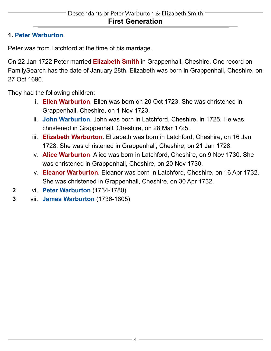### <span id="page-4-1"></span><span id="page-4-0"></span>**1. Peter Warburton**.

<span id="page-4-2"></span>Peter was from Latchford at the time of his marriage.

On 22 Jan 1722 Peter married **Elizabeth Smith** in Grappenhall, Cheshire. One record on FamilySearch has the date of January 28th. Elizabeth was born in Grappenhall, Cheshire, on 27 Oct 1696.

<span id="page-4-7"></span><span id="page-4-6"></span><span id="page-4-5"></span>They had the following children:

- i. **Ellen Warburton**. Ellen was born on 20 Oct 1723. She was christened in Grappenhall, Cheshire, on 1 Nov 1723.
- ii. **John Warburton**. John was born in Latchford, Cheshire, in 1725. He was christened in Grappenhall, Cheshire, on 28 Mar 1725.
- <span id="page-4-3"></span>iii. **Elizabeth Warburton**. Elizabeth was born in Latchford, Cheshire, on 16 Jan 1728. She was christened in Grappenhall, Cheshire, on 21 Jan 1728.
- <span id="page-4-4"></span>iv. **Alice Warburton**. Alice was born in Latchford, Cheshire, on 9 Nov 1730. She was christened in Grappenhall, Cheshire, on 20 Nov 1730.
- v. **Eleanor Warburton**. Eleanor was born in Latchford, Cheshire, on 16 Apr 1732. She was christened in Grappenhall, Cheshire, on 30 Apr 1732.
- **2** vi. **[Peter Warburton](#page-5-1)** (1734-1780)
- **3** vii. **[James Warburton](#page-5-2)** (1736-1805)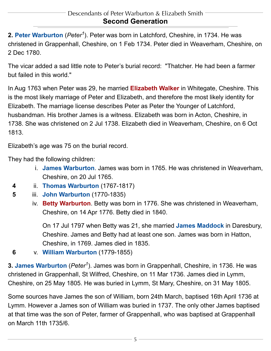<span id="page-5-1"></span><span id="page-5-0"></span>2. Peter Warburton (Peter<sup>1</sup>). Peter was born in Latchford, Cheshire, in 1734. He was christened in Grappenhall, Cheshire, on 1 Feb 1734. Peter died in Weaverham, Cheshire, on 2 Dec 1780.

<span id="page-5-3"></span>The vicar added a sad little note to Peter's burial record: "Thatcher. He had been a farmer but failed in this world."

In Aug 1763 when Peter was 29, he married **Elizabeth Walker** in Whitegate, Cheshire. This is the most likely marriage of Peter and Elizabeth, and therefore the most likely identity for Elizabeth. The marriage license describes Peter as Peter the Younger of Latchford, husbandman. His brother James is a witness. Elizabeth was born in Acton, Cheshire, in 1738. She was christened on 2 Jul 1738. Elizabeth died in Weaverham, Cheshire, on 6 Oct 1813.

<span id="page-5-6"></span>Elizabeth's age was 75 on the burial record.

They had the following children:

- i. **James Warburton**. James was born in 1765. He was christened in Weaverham, Cheshire, on 20 Jul 1765.
- <span id="page-5-5"></span>**4** ii. **[Thomas Warburton](#page-8-1)** (1767-1817)
- <span id="page-5-4"></span>**5** iii. **[John Warburton](#page-9-0)** (1770-1835)
	- iv. **Betty Warburton**. Betty was born in 1776. She was christened in Weaverham, Cheshire, on 14 Apr 1776. Betty died in 1840.

On 17 Jul 1797 when Betty was 21, she married **James Maddock** in Daresbury, Cheshire. James and Betty had at least one son. James was born in Hatton, Cheshire, in 1769. James died in 1835.

<span id="page-5-2"></span>**6** v. **[William Warburton](#page-10-0)** (1779-1855)

**3. James Warburton** (*Peter<sup>1</sup>*). James was born in Grappenhall, Cheshire, in 1736. He was christened in Grappenhall, St Wilfred, Cheshire, on 11 Mar 1736. James died in Lymm, Cheshire, on 25 May 1805. He was buried in Lymm, St Mary, Cheshire, on 31 May 1805.

Some sources have James the son of William, born 24th March, baptised 16th April 1736 at Lymm. However a James son of William was buried in 1737. The only other James baptised at that time was the son of Peter, farmer of Grappenhall, who was baptised at Grappenhall on March 11th 1735/6.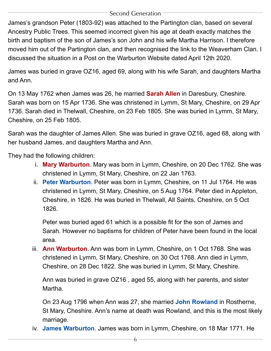#### Second Generation

James's grandson Peter (1803-92) was attached to the Partington clan, based on several Ancestry Public Trees. This seemed incorrect given his age at death exactly matches the birth and baptism of the son of James's son John and his wife Martha Harrison. I therefore moved him out of the Partington clan, and then recognised the link to the Weaverham Clan. I discussed the situation in a Post on the Warburton Website dated April 12th 2020.

<span id="page-6-1"></span>James was buried in grave OZ16, aged 69, along with his wife Sarah, and daughters Martha and Ann.

On 13 May 1762 when James was 26, he married **Sarah Allen** in Daresbury, Cheshire. Sarah was born on 15 Apr 1736. She was christened in Lymm, St Mary, Cheshire, on 29 Apr 1736. Sarah died in Thelwall, Cheshire, on 23 Feb 1805. She was buried in Lymm, St Mary, Cheshire, on 25 Feb 1805.

Sarah was the daughter of James Allen. She was buried in grave OZ16, aged 68, along with her husband James, and daughters Martha and Ann.

<span id="page-6-4"></span><span id="page-6-0"></span>They had the following children:

- i. **Mary Warburton**. Mary was born in Lymm, Cheshire, on 20 Dec 1762. She was christened in Lymm, St Mary, Cheshire, on 22 Jan 1763.
- ii. **Peter Warburton**. Peter was born in Lymm, Cheshire, on 11 Jul 1764. He was christened in Lymm, St Mary, Cheshire, on 5 Aug 1764. Peter died in Appleton, Cheshire, in 1826. He was buried in Thelwall, All Saints, Cheshire, on 5 Oct 1826.

Peter was buried aged 61 which is a possible fit for the son of James and Sarah. However no baptisms for children of Peter have been found in the local area.

<span id="page-6-2"></span>iii. **Ann Warburton**. Ann was born in Lymm, Cheshire, on 1 Oct 1768. She was christened in Lymm, St Mary, Cheshire, on 30 Oct 1768. Ann died in Lymm, Cheshire, on 28 Dec 1822. She was buried in Lymm, St Mary, Cheshire.

<span id="page-6-5"></span>Ann was buried in grave OZ16 , aged 55, along with her parents, and sister Martha.

On 23 Aug 1796 when Ann was 27, she married **John Rowland** in Rostherne, St Mary, Cheshire. Ann's name at death was Rowland, and this is the most likely marriage.

<span id="page-6-3"></span>iv. **James Warburton**. James was born in Lymm, Cheshire, on 18 Mar 1771. He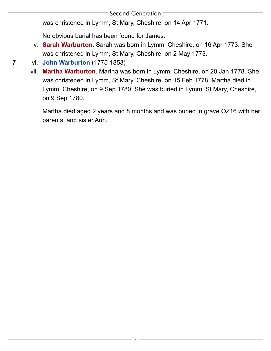was christened in Lymm, St Mary, Cheshire, on 14 Apr 1771.

No obvious burial has been found for James.

<span id="page-7-1"></span>v. **Sarah Warburton**. Sarah was born in Lymm, Cheshire, on 16 Apr 1773. She was christened in Lymm, St Mary, Cheshire, on 2 May 1773.

## <span id="page-7-0"></span>**7** vi. **[John Warburton](#page-11-0)** (1775-1853)

vii. **Martha Warburton**. Martha was born in Lymm, Cheshire, on 20 Jan 1778. She was christened in Lymm, St Mary, Cheshire, on 15 Feb 1778. Martha died in Lymm, Cheshire, on 9 Sep 1780. She was buried in Lymm, St Mary, Cheshire, on 9 Sep 1780.

7

Martha died aged 2 years and 8 months and was buried in grave OZ16 with her parents, and sister Ann.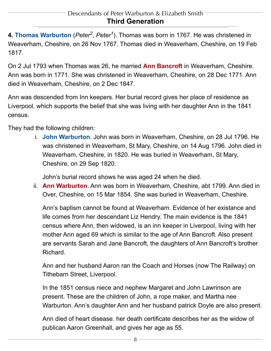<span id="page-8-3"></span><span id="page-8-1"></span><span id="page-8-0"></span>**4. Thomas Warburton** (*[Peter2](#page-5-1), [Peter1](#page-4-1)*). Thomas was born in 1767. He was christened in Weaverham, Cheshire, on 26 Nov 1767. Thomas died in Weaverham, Cheshire, on 19 Feb 1817.

On 2 Jul 1793 when Thomas was 26, he married **Ann Bancroft** in Weaverham, Cheshire. Ann was born in 1771. She was christened in Weaverham, Cheshire, on 28 Dec 1771. Ann died in Weaverham, Cheshire, on 2 Dec 1847.

Ann was descended from Inn keepers. Her burial record gives her place of residence as Liverpool, which supports the belief that she was living with her daughter Ann in the 1841 census.

<span id="page-8-4"></span>They had the following children:

i. **John Warburton**. John was born in Weaverham, Cheshire, on 28 Jul 1796. He was christened in Weaverham, St Mary, Cheshire, on 14 Aug 1796. John died in Weaverham, Cheshire, in 1820. He was buried in Weaverham, St Mary, Cheshire, on 29 Sep 1820.

John's burial record shows he was aged 24 when he died.

<span id="page-8-2"></span>ii. **Ann Warburton**. Ann was born in Weaverham, Cheshire, abt 1799. Ann died in Over, Cheshire, on 15 Mar 1854. She was buried in Weaverham, Cheshire.

Ann's baptism cannot be found at Weaverham. Evidence of her existance and life comes from her descendant Liz Hendry. The main evidence is the 1841 census where Ann, then widowed, is an inn keeper in Liverpool, living with her mother Ann aged 69 which is similar to the age of Ann Bancroft. Also present are servants Sarah and Jane Bancroft, the daughters of Ann Bancroft's brother Richard.

Ann and her husband Aaron ran the Coach and Horses (now The Railway) on Tithebarn Street, Liverpool.

In the 1851 census niece and nephew Margaret and John Lawrinson are present. These are the children of John, a rope maker, and Martha nee Warburton. Ann's daughter Ann and her husband patrick Doyle are also present.

Ann died of heart disease. her death certificate describes her as the widow of publican Aaron Greenhall, and gives her age as 55.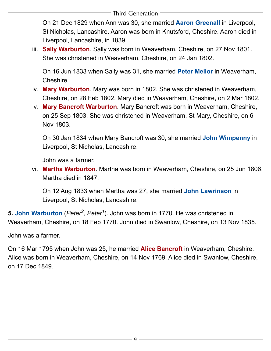<span id="page-9-1"></span>On 21 Dec 1829 when Ann was 30, she married **Aaron Greenall** in Liverpool, St Nicholas, Lancashire. Aaron was born in Knutsford, Cheshire. Aaron died in Liverpool, Lancashire, in 1839.

<span id="page-9-9"></span><span id="page-9-7"></span>iii. **Sally Warburton**. Sally was born in Weaverham, Cheshire, on 27 Nov 1801. She was christened in Weaverham, Cheshire, on 24 Jan 1802.

On 16 Jun 1833 when Sally was 31, she married **Peter Mellor** in Weaverham, Cheshire.

- <span id="page-9-8"></span><span id="page-9-4"></span>iv. **Mary Warburton**. Mary was born in 1802. She was christened in Weaverham, Cheshire, on 28 Feb 1802. Mary died in Weaverham, Cheshire, on 2 Mar 1802.
- <span id="page-9-5"></span>v. **Mary Bancroft Warburton**. Mary Bancroft was born in Weaverham, Cheshire, on 25 Sep 1803. She was christened in Weaverham, St Mary, Cheshire, on 6 Nov 1803.

On 30 Jan 1834 when Mary Bancroft was 30, she married **John Wimpenny** in Liverpool, St Nicholas, Lancashire.

John was a farmer.

<span id="page-9-3"></span><span id="page-9-2"></span>vi. **Martha Warburton**. Martha was born in Weaverham, Cheshire, on 25 Jun 1806. Martha died in 1847.

On 12 Aug 1833 when Martha was 27, she married **John Lawrinson** in Liverpool, St Nicholas, Lancashire.

<span id="page-9-0"></span>**5. John Warburton** (*Peter<sup>2</sup>, Peter<sup>1</sup>). John was born in 1770. He was christened in* Weaverham, Cheshire, on 18 Feb 1770. John died in Swanlow, Cheshire, on 13 Nov 1835.

<span id="page-9-6"></span>John was a farmer.

On 16 Mar 1795 when John was 25, he married **Alice Bancroft** in Weaverham, Cheshire. Alice was born in Weaverham, Cheshire, on 14 Nov 1769. Alice died in Swanlow, Cheshire, on 17 Dec 1849.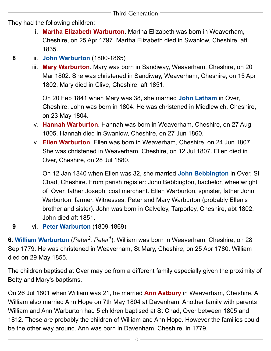<span id="page-10-7"></span>They had the following children:

- i. **Martha Elizabeth Warburton**. Martha Elizabeth was born in Weaverham, Cheshire, on 25 Apr 1797. Martha Elizabeth died in Swanlow, Cheshire, aft 1835.
- <span id="page-10-4"></span><span id="page-10-2"></span>**8** ii. **[John Warburton](#page-14-1)** (1800-1865)
	- iii. **Mary Warburton**. Mary was born in Sandiway, Weaverham, Cheshire, on 20 Mar 1802. She was christened in Sandiway, Weaverham, Cheshire, on 15 Apr 1802. Mary died in Clive, Cheshire, aft 1851.

On 20 Feb 1841 when Mary was 38, she married **John Latham** in Over, Cheshire. John was born in 1804. He was christened in Middlewich, Cheshire, on 23 May 1804.

- <span id="page-10-6"></span><span id="page-10-5"></span>iv. **Hannah Warburton**. Hannah was born in Weaverham, Cheshire, on 27 Aug 1805. Hannah died in Swanlow, Cheshire, on 27 Jun 1860.
- <span id="page-10-1"></span>v. **Ellen Warburton**. Ellen was born in Weaverham, Cheshire, on 24 Jun 1807. She was christened in Weaverham, Cheshire, on 12 Jul 1807. Ellen died in Over, Cheshire, on 28 Jul 1880.

On 12 Jan 1840 when Ellen was 32, she married **John Bebbington** in Over, St Chad, Cheshire. From parish register: John Bebbington, bachelor, wheelwright of Over, father Joseph, coal merchant. Ellen Warburton, spinster, father John Warburton, farmer. Witnesses, Peter and Mary Warburton (probably Ellen's brother and sister). John was born in Calveley, Tarporley, Cheshire, abt 1802. John died aft 1851.

<span id="page-10-0"></span>**9** vi. **[Peter Warburton](#page-15-0)** (1809-1869)

**6. William Warburton** (*[Peter2](#page-5-1), [Peter1](#page-4-1)*). William was born in Weaverham, Cheshire, on 28 Sep 1779. He was christened in Weaverham, St Mary, Cheshire, on 25 Apr 1780. William died on 29 May 1855.

<span id="page-10-3"></span>The children baptised at Over may be from a different family especially given the proximity of Betty and Mary's baptisms.

On 26 Jul 1801 when William was 21, he married **Ann Astbury** in Weaverham, Cheshire. A William also married Ann Hope on 7th May 1804 at Davenham. Another family with parents William and Ann Warburton had 5 children baptised at St Chad, Over between 1805 and 1812. These are probably the children of William and Ann Hope. However the families could be the other way around. Ann was born in Davenham, Cheshire, in 1779.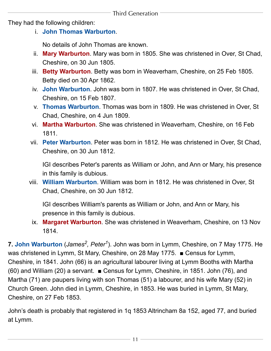<span id="page-11-9"></span><span id="page-11-6"></span><span id="page-11-2"></span>They had the following children:

i. **John Thomas Warburton**.

No details of John Thomas are known.

- ii. **Mary Warburton**. Mary was born in 1805. She was christened in Over, St Chad, Cheshire, on 30 Jun 1805.
- <span id="page-11-1"></span>iii. **Betty Warburton**. Betty was born in Weaverham, Cheshire, on 25 Feb 1805. Betty died on 30 Apr 1862.
- <span id="page-11-4"></span>iv. **John Warburton**. John was born in 1807. He was christened in Over, St Chad, Cheshire, on 15 Feb 1807.
- <span id="page-11-8"></span>v. **Thomas Warburton**. Thomas was born in 1809. He was christened in Over, St Chad, Cheshire, on 4 Jun 1809.
- <span id="page-11-3"></span>vi. **Martha Warburton**. She was christened in Weaverham, Cheshire, on 16 Feb 1811.
- vii. **Peter Warburton**. Peter was born in 1812. He was christened in Over, St Chad, Cheshire, on 30 Jun 1812.

IGI describes Peter's parents as William or John, and Ann or Mary, his presence in this family is dubious.

<span id="page-11-7"></span><span id="page-11-5"></span>viii. **William Warburton**. William was born in 1812. He was christened in Over, St Chad, Cheshire, on 30 Jun 1812.

IGI describes William's parents as William or John, and Ann or Mary, his presence in this family is dubious.

ix. **Margaret Warburton**. She was christened in Weaverham, Cheshire, on 13 Nov 1814.

<span id="page-11-0"></span>**7. John Warburton** (*James<sup>2</sup>, Peter<sup>1</sup>). John was born in Lymm, Cheshire, on 7 May 1775. He* was christened in Lymm, St Mary, Cheshire, on 28 May 1775. ■ Census for Lymm, Cheshire, in 1841. John (66) is an agricultural labourer living at Lymm Booths with Martha (60) and William (20) a servant. ■ Census for Lymm, Cheshire, in 1851. John (76), and Martha (71) are paupers living with son Thomas (51) a labourer, and his wife Mary (52) in Church Green. John died in Lymm, Cheshire, in 1853. He was buried in Lymm, St Mary, Cheshire, on 27 Feb 1853.

John's death is probably that registered in 1q 1853 Altrincham 8a 152, aged 77, and buried at Lymm.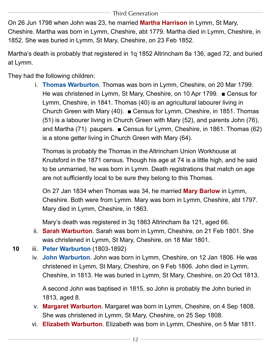<span id="page-12-1"></span>On 26 Jun 1798 when John was 23, he married **Martha Harrison** in Lymm, St Mary, Cheshire. Martha was born in Lymm, Cheshire, abt 1779. Martha died in Lymm, Cheshire, in 1852. She was buried in Lymm, St Mary, Cheshire, on 23 Feb 1852.

Martha's death is probably that registered in 1q 1852 Altrincham 8a 136, aged 72, and buried at Lymm.

<span id="page-12-6"></span>They had the following children:

i. **Thomas Warburton**. Thomas was born in Lymm, Cheshire, on 20 Mar 1799. He was christened in Lymm, St Mary, Cheshire, on 10 Apr 1799. ■ Census for Lymm, Cheshire, in 1841. Thomas (40) is an agricultural labourer living in Church Green with Mary (40). ■ Census for Lymm, Cheshire, in 1851. Thomas (51) is a labourer living in Church Green with Mary (52), and parents John (76), and Martha (71) paupers. ■ Census for Lymm, Cheshire, in 1861. Thomas (62) is a stone getter living in Church Green with Mary (64).

Thomas is probably the Thomas in the Altrincham Union Workhouse at Knutsford in the 1871 census. Though his age at 74 is a little high, and he said to be unmarried, he was born in Lymm. Death registrations that match on age are not sufficiently local to be sure they belong to this Thomas.

<span id="page-12-0"></span>On 27 Jan 1834 when Thomas was 34, he married **Mary Barlow** in Lymm, Cheshire. Both were from Lymm. Mary was born in Lymm, Cheshire, abt 1797. Mary died in Lymm, Cheshire, in 1863.

Mary's death was registered in 3q 1863 Altrincham 8a 121, aged 66.

- <span id="page-12-5"></span>ii. **Sarah Warburton**. Sarah was born in Lymm, Cheshire, on 21 Feb 1801. She was christened in Lymm, St Mary, Cheshire, on 18 Mar 1801.
- <span id="page-12-3"></span>**10** iii. **[Peter Warburton](#page-17-0)** (1803-1892)
	- iv. **John Warburton**. John was born in Lymm, Cheshire, on 12 Jan 1806. He was christened in Lymm, St Mary, Cheshire, on 9 Feb 1806. John died in Lymm, Cheshire, in 1813. He was buried in Lymm, St Mary, Cheshire, on 20 Oct 1813.

A second John was baptised in 1815, so John is probably the John buried in 1813, aged 8.

- <span id="page-12-4"></span><span id="page-12-2"></span>v. **Margaret Warburton**. Margaret was born in Lymm, Cheshire, on 4 Sep 1808. She was christened in Lymm, St Mary, Cheshire, on 25 Sep 1808.
- vi. **Elizabeth Warburton**. Elizabeth was born in Lymm, Cheshire, on 5 Mar 1811.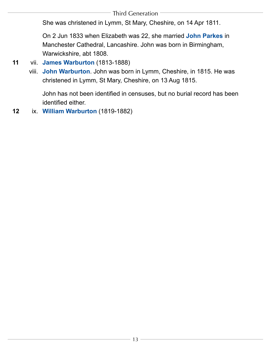<span id="page-13-0"></span>She was christened in Lymm, St Mary, Cheshire, on 14 Apr 1811.

On 2 Jun 1833 when Elizabeth was 22, she married **John Parkes** in Manchester Cathedral, Lancashire. John was born in Birmingham, Warwickshire, abt 1808.

# <span id="page-13-1"></span>**11** vii. **[James Warburton](#page-21-0)** (1813-1888)

viii. **John Warburton**. John was born in Lymm, Cheshire, in 1815. He was christened in Lymm, St Mary, Cheshire, on 13 Aug 1815.

John has not been identified in censuses, but no burial record has been identified either.

**12** ix. **[William Warburton](#page-22-0)** (1819-1882)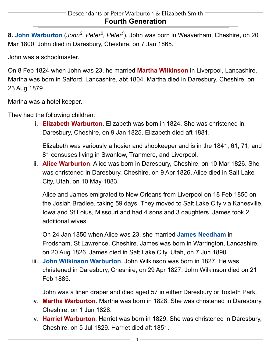<span id="page-14-1"></span><span id="page-14-0"></span>**8. John Warburton** (*[John](#page-9-0)3, [Peter2,](#page-5-1) [Peter1](#page-4-1)*). John was born in Weaverham, Cheshire, on 20 Mar 1800. John died in Daresbury, Cheshire, on 7 Jan 1865.

<span id="page-14-7"></span>John was a schoolmaster.

On 8 Feb 1824 when John was 23, he married **Martha Wilkinson** in Liverpool, Lancashire. Martha was born in Salford, Lancashire, abt 1804. Martha died in Daresbury, Cheshire, on 23 Aug 1879.

<span id="page-14-3"></span>Martha was a hotel keeper.

<span id="page-14-2"></span>They had the following children:

i. **Elizabeth Warburton**. Elizabeth was born in 1824. She was christened in Daresbury, Cheshire, on 9 Jan 1825. Elizabeth died aft 1881.

Elizabeth was variously a hosier and shopkeeper and is in the 1841, 61, 71, and 81 censuses living in Swanlow, Tranmere, and Liverpool.

ii. **Alice Warburton**. Alice was born in Daresbury, Cheshire, on 10 Mar 1826. She was christened in Daresbury, Cheshire, on 9 Apr 1826. Alice died in Salt Lake City, Utah, on 10 May 1883.

Alice and James emigrated to New Orleans from Liverpool on 18 Feb 1850 on the Josiah Bradlee, taking 59 days. They moved to Salt Lake City via Kanesville, Iowa and St Loius, Missouri and had 4 sons and 3 daughters. James took 2 additional wives.

<span id="page-14-8"></span>On 24 Jan 1850 when Alice was 23, she married **James Needham** in Frodsham, St Lawrence, Cheshire. James was born in Warrington, Lancashire, on 20 Aug 1826. James died in Salt Lake City, Utah, on 7 Jun 1890.

<span id="page-14-5"></span>iii. **John Wilkinson Warburton**. John Wilkinson was born in 1827. He was christened in Daresbury, Cheshire, on 29 Apr 1827. John Wilkinson died on 21 Feb 1885.

John was a linen draper and died aged 57 in either Daresbury or Toxteth Park.

- <span id="page-14-6"></span><span id="page-14-4"></span>iv. **Martha Warburton**. Martha was born in 1828. She was christened in Daresbury, Cheshire, on 1 Jun 1828.
- v. **Harriet Warburton**. Harriet was born in 1829. She was christened in Daresbury, Cheshire, on 5 Jul 1829. Harriet died aft 1851.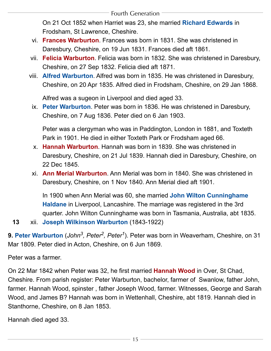<span id="page-15-7"></span>On 21 Oct 1852 when Harriet was 23, she married **Richard Edwards** in Frodsham, St Lawrence, Cheshire.

- <span id="page-15-4"></span><span id="page-15-3"></span>vi. **Frances Warburton**. Frances was born in 1831. She was christened in Daresbury, Cheshire, on 19 Jun 1831. Frances died aft 1861.
- <span id="page-15-1"></span>vii. **Felicia Warburton**. Felicia was born in 1832. She was christened in Daresbury, Cheshire, on 27 Sep 1832. Felicia died aft 1871.
- <span id="page-15-6"></span>viii. **Alfred Warburton**. Alfred was born in 1835. He was christened in Daresbury, Cheshire, on 20 Apr 1835. Alfred died in Frodsham, Cheshire, on 29 Jan 1868.

Alfred was a sugeon in Liverpool and died aged 33.

<span id="page-15-5"></span>ix. **Peter Warburton**. Peter was born in 1836. He was christened in Daresbury, Cheshire, on 7 Aug 1836. Peter died on 6 Jan 1903.

Peter was a clergyman who was in Paddington, London in 1881, and Toxteth Park in 1901. He died in either Toxteth Park or Frodsham aged 66.

- <span id="page-15-2"></span>x. **Hannah Warburton**. Hannah was born in 1839. She was christened in Daresbury, Cheshire, on 21 Jul 1839. Hannah died in Daresbury, Cheshire, on 22 Dec 1845.
- <span id="page-15-8"></span>xi. **Ann Merial Warburton**. Ann Merial was born in 1840. She was christened in Daresbury, Cheshire, on 1 Nov 1840. Ann Merial died aft 1901.

In 1900 when Ann Merial was 60, she married **John Wilton Cunninghame Haldane** in Liverpool, Lancashire. The marriage was registered in the 3rd quarter. John Wilton Cunninghame was born in Tasmania, Australia, abt 1835.

<span id="page-15-0"></span>**13** xii. **[Joseph Wilkinson Warburton](#page-25-1)** (1843-1922)

**9. Peter Warburton** (*[John](#page-9-0)<sup>3</sup>, Peter<sup>2</sup>, Peter<sup>1</sup>). Peter was born in Weaverham, Cheshire, on 31* Mar 1809. Peter died in Acton, Cheshire, on 6 Jun 1869.

<span id="page-15-9"></span>Peter was a farmer.

On 22 Mar 1842 when Peter was 32, he first married **Hannah Wood** in Over, St Chad, Cheshire. From parish register: Peter Warburton, bachelor, farmer of Swanlow, father John, farmer. Hannah Wood, spinster , father Joseph Wood, farmer. Witnesses, George and Sarah Wood, and James B? Hannah was born in Wettenhall, Cheshire, abt 1819. Hannah died in Stanthorne, Cheshire, on 8 Jan 1853.

Hannah died aged 33.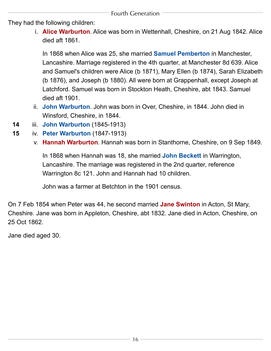<span id="page-16-2"></span><span id="page-16-1"></span>They had the following children:

i. **Alice Warburton**. Alice was born in Wettenhall, Cheshire, on 21 Aug 1842. Alice died aft 1861.

In 1868 when Alice was 25, she married **Samuel Pemberton** in Manchester, Lancashire. Marriage registered in the 4th quarter, at Manchester 8d 639. Alice and Samuel's children were Alice (b 1871), Mary Ellen (b 1874), Sarah Elizabeth (b 1876), and Joseph (b 1880). All were born at Grappenhall, except Joseph at Latchford. Samuel was born in Stockton Heath, Cheshire, abt 1843. Samuel died aft 1901.

- <span id="page-16-3"></span>ii. **John Warburton**. John was born in Over, Cheshire, in 1844. John died in Winsford, Cheshire, in 1844.
- <span id="page-16-4"></span>**14** iii. **[John Warburton](#page-26-0)** (1845-1913)
- <span id="page-16-5"></span>**15** iv. **[Peter Warburton](#page-27-0)** (1847-1913)
	- v. **Hannah Warburton**. Hannah was born in Stanthorne, Cheshire, on 9 Sep 1849.

In 1868 when Hannah was 18, she married **John Beckett** in Warrington, Lancashire. The marriage was registered in the 2nd quarter, reference Warrington 8c 121. John and Hannah had 10 children.

John was a farmer at Betchton in the 1901 census.

<span id="page-16-0"></span>On 7 Feb 1854 when Peter was 44, he second married **Jane Swinton** in Acton, St Mary, Cheshire. Jane was born in Appleton, Cheshire, abt 1832. Jane died in Acton, Cheshire, on 25 Oct 1862.

Jane died aged 30.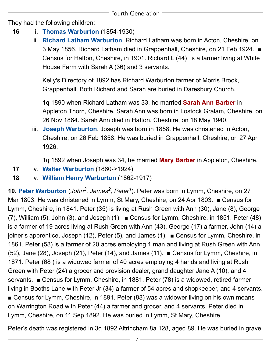<span id="page-17-2"></span>They had the following children:

- **16** i. **[Thomas Warburton](#page-29-0)** (1854-1930)
	- ii. **Richard Latham Warburton**. Richard Latham was born in Acton, Cheshire, on 3 May 1856. Richard Latham died in Grappenhall, Cheshire, on 21 Feb 1924. ■ Census for Hatton, Cheshire, in 1901. Richard L (44) is a farmer living at White House Farm with Sarah A (36) and 3 servants.

<span id="page-17-3"></span>Kelly's Directory of 1892 has Richard Warburton farmer of Morris Brook, Grappenhall. Both Richard and Sarah are buried in Daresbury Church.

1q 1890 when Richard Latham was 33, he married **Sarah Ann Barber** in Appleton Thorn, Cheshire. Sarah Ann was born in Lostock Gralam, Cheshire, on 26 Nov 1864. Sarah Ann died in Hatton, Cheshire, on 18 May 1940.

<span id="page-17-1"></span>iii. **Joseph Warburton**. Joseph was born in 1858. He was christened in Acton, Cheshire, on 26 Feb 1858. He was buried in Grappenhall, Cheshire, on 27 Apr 1926.

1q 1892 when Joseph was 34, he married **Mary Barber** in Appleton, Cheshire.

- <span id="page-17-4"></span>**17** iv. **[Walter Warburton](#page-29-1)** (1860->1924)
- <span id="page-17-0"></span>**18** v. **[William Henry Warburton](#page-30-0)** (1862-1917)

**10. Peter Warburton** (*[John](#page-11-0)3, [James2](#page-5-2), [Peter1](#page-4-1)*). Peter was born in Lymm, Cheshire, on 27 Mar 1803. He was christened in Lymm, St Mary, Cheshire, on 24 Apr 1803. ■ Census for Lymm, Cheshire, in 1841. Peter (35) is living at Rush Green with Ann (30), Jane (8), George (7), William (5), John (3), and Joseph (1). ■ Census for Lymm, Cheshire, in 1851. Peter (48) is a farmer of 19 acres living at Rush Green with Ann (43), George (17) a farmer, John (14) a joiner's apprentice, Joseph (12), Peter (5), and James (1). ■ Census for Lymm, Cheshire, in 1861. Peter (58) is a farmer of 20 acres employing 1 man and living at Rush Green with Ann (52), Jane (28), Joseph (21), Peter (14), and James (11). ■ Census for Lymm, Cheshire, in 1871. Peter (68 ) is a widowed farmer of 40 acres employing 4 hands and living at Rush Green with Peter (24) a grocer and provision dealer, grand daughter Jane A (10), and 4 servants. ■ Census for Lymm, Cheshire, in 1881. Peter (78) is a widowed, retired farmer living in Booths Lane with Peter Jr (34} a farmer of 54 acres and shopkeeper, and 4 servants. ■ Census for Lymm, Cheshire, in 1891. Peter (88) was a widower living on his own means on Warrington Road with Peter (44) a farmer and grocer, and 4 servants. Peter died in Lymm, Cheshire, on 11 Sep 1892. He was buried in Lymm, St Mary, Cheshire.

Peter's death was registered in 3q 1892 Altrincham 8a 128, aged 89. He was buried in grave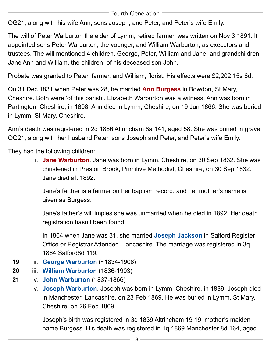OG21, along with his wife Ann, sons Joseph, and Peter, and Peter's wife Emily.

The will of Peter Warburton the elder of Lymm, retired farmer, was written on Nov 3 1891. It appointed sons Peter Warburton, the younger, and William Warburton, as executors and trustees. The will mentioned 4 children, George, Peter, William and Jane, and grandchildren Jane Ann and William, the children of his deceased son John.

<span id="page-18-0"></span>Probate was granted to Peter, farmer, and William, florist. His effects were £2,202 15s 6d.

On 31 Dec 1831 when Peter was 28, he married **Ann Burgess** in Bowdon, St Mary, Cheshire. Both were 'of this parish'. Elizabeth Warburton was a witness. Ann was born in Partington, Cheshire, in 1808. Ann died in Lymm, Cheshire, on 19 Jun 1866. She was buried in Lymm, St Mary, Cheshire.

Ann's death was registered in 2q 1866 Altrincham 8a 141, aged 58. She was buried in grave OG21, along with her husband Peter, sons Joseph and Peter, and Peter's wife Emily.

<span id="page-18-1"></span>They had the following children:

i. **Jane Warburton**. Jane was born in Lymm, Cheshire, on 30 Sep 1832. She was christened in Preston Brook, Primitive Methodist, Cheshire, on 30 Sep 1832. Jane died aft 1892.

Jane's farther is a farmer on her baptism record, and her mother's name is given as Burgess.

<span id="page-18-3"></span>Jane's father's will impies she was unmarried when he died in 1892. Her death registration hasn't been found.

In 1864 when Jane was 31, she married **Joseph Jackson** in Salford Register Office or Registrar Attended, Lancashire. The marriage was registered in 3q 1864 Salford8d 119.

- **19** ii. **[George Warburton](#page-31-0)** (~1834-1906)
- <span id="page-18-2"></span>**20** iii. **[William Warburton](#page-34-0)** (1836-1903)
- **21** iv. **[John Warburton](#page-35-0)** (1837-1866)
	- v. **Joseph Warburton**. Joseph was born in Lymm, Cheshire, in 1839. Joseph died in Manchester, Lancashire, on 23 Feb 1869. He was buried in Lymm, St Mary, Cheshire, on 26 Feb 1869.

Joseph's birth was registered in 3q 1839 Altrincham 19 19, mother's maiden name Burgess. His death was registered in 1q 1869 Manchester 8d 164, aged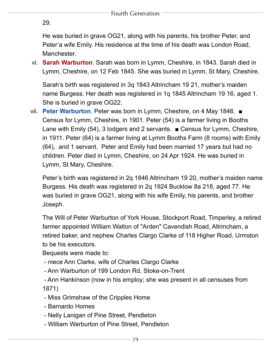29.

He was buried in grave OG21, along with his parents, his brother Peter, and Peter'a wife Emily. His residence at the time of his death was London Road, Manchester.

<span id="page-19-1"></span>vi. **Sarah Warburton**. Sarah was born in Lymm, Cheshire, in 1843. Sarah died in Lymm, Cheshire, on 12 Feb 1845. She was buried in Lymm, St Mary, Cheshire.

Sarah's birth was registered in 3q 1843 Altrincham 19 21, mother's maiden name Burgess. Her death was registered in 1q 1845 Altrincham 19 16, aged 1. She is buried in grave OG22.

<span id="page-19-0"></span>vii. **Peter Warburton**. Peter was born in Lymm, Cheshire, on 4 May 1846. ■ Census for Lymm, Cheshire, in 1901. Peter (54) is a farmer living in Booths Lane with Emily (54), 3 lodgers and 2 servants. ■ Census for Lymm, Cheshire, in 1911. Peter (64) is a farmer living at Lymm Booths Farm (8 rooms) with Emily (64), and 1 servant. Peter and Emily had been married 17 years but had no children. Peter died in Lymm, Cheshire, on 24 Apr 1924. He was buried in Lymm, St Mary, Cheshire.

Peter's birth was registered in 2q 1846 Altrincham 19 20, mother's maiden name Burgess. His death was registered in 2q 1924 Bucklow 8a 218, aged 77. He was buried in grave OG21, along with his wife Emily, his parents, and brother Joseph.

The Will of Peter Warburton of York House, Stockport Road, Timperley, a retired farmer appointed William Walton of "Arden" Cavendish Road, Altrincham, a retired baker, and nephew Charles Clargo Clarke of 118 Higher Road, Urmston to be his executors.

Bequests were made to:

- niece Ann Clarke, wife of Charles Clargo Clarke
- Ann Warburton of 199 London Rd, Stoke-on-Trent
- Ann Hankinson (now in his employ; she was present in all censuses from 1871)
- Miss Grimshaw of the Cripples Home
- Barnardo Homes
- Nelly Lanigan of Pine Street, Pendleton
- William Warburton of Pine Street, Pendleton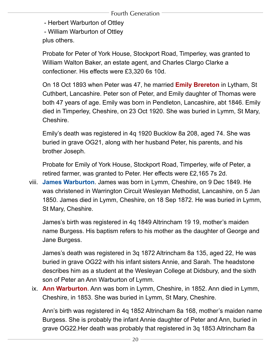- Herbert Warburton of Ottley

- William Warburton of Ottley

plus others.

<span id="page-20-2"></span>Probate for Peter of York House, Stockport Road, Timperley, was granted to William Walton Baker, an estate agent, and Charles Clargo Clarke a confectioner. His effects were £3,320 6s 10d.

On 18 Oct 1893 when Peter was 47, he married **Emily Brereton** in Lytham, St Cuthbert, Lancashire. Peter son of Peter, and Emily daughter of Thomas were both 47 years of age. Emily was born in Pendleton, Lancashire, abt 1846. Emily died in Timperley, Cheshire, on 23 Oct 1920. She was buried in Lymm, St Mary, Cheshire.

Emily's death was registered in 4q 1920 Bucklow 8a 208, aged 74. She was buried in grave OG21, along with her husband Peter, his parents, and his brother Joseph.

Probate for Emily of York House, Stockport Road, Timperley, wife of Peter, a retired farmer, was granted to Peter. Her effects were £2,165 7s 2d.

<span id="page-20-1"></span>viii. **James Warburton**. James was born in Lymm, Cheshire, on 9 Dec 1849. He was christened in Warrington Circuit Wesleyan Methodist, Lancashire, on 5 Jan 1850. James died in Lymm, Cheshire, on 18 Sep 1872. He was buried in Lymm, St Mary, Cheshire.

James's birth was registered in 4q 1849 Altrincham 19 19, mother's maiden name Burgess. His baptism refers to his mother as the daughter of George and Jane Burgess.

James's death was registered in 3q 1872 Altrincham 8a 135, aged 22, He was buried in grave OG22 with his infant sisters Annie, and Sarah. The headstone describes him as a student at the Wesleyan College at Didsbury, and the sixth son of Peter an Ann Warburton of Lymm.

<span id="page-20-0"></span>ix. **Ann Warburton**. Ann was born in Lymm, Cheshire, in 1852. Ann died in Lymm, Cheshire, in 1853. She was buried in Lymm, St Mary, Cheshire.

Ann's birth was registered in 4q 1852 Altrincham 8a 168, mother's maiden name Burgess. She is probably the infant Annie daughter of Peter and Ann, buried in grave OG22.Her death was probably that registered in 3q 1853 Altrincham 8a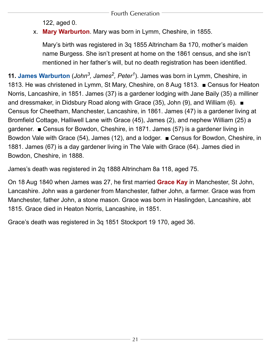122, aged 0.

# <span id="page-21-2"></span>x. **Mary Warburton**. Mary was born in Lymm, Cheshire, in 1855.

Mary's birth was registered in 3q 1855 Altrincham 8a 170, mother's maiden name Burgess. She isn't present at home on the 1861 census, and she isn't mentioned in her father's will, but no death registration has been identified.

<span id="page-21-0"></span>**11. James Warburton** (*[John](#page-11-0)<sup>3</sup>, James<sup>2</sup>, Peter<sup>1</sup>). James was born in Lymm, Cheshire, in* 1813. He was christened in Lymm, St Mary, Cheshire, on 8 Aug 1813. ■ Census for Heaton Norris, Lancashire, in 1851. James (37) is a gardener lodging with Jane Baily (35) a milliner and dressmaker, in Didsbury Road along with Grace (35), John (9), and William (6). ■ Census for Cheetham, Manchester, Lancashire, in 1861. James (47) is a gardener living at Bromfield Cottage, Halliwell Lane with Grace (45), James (2), and nephew William (25) a gardener. ■ Census for Bowdon, Cheshire, in 1871. James (57) is a gardener living in Bowdon Vale with Grace (54), James (12), and a lodger. ■ Census for Bowdon, Cheshire, in 1881. James (67) is a day gardener living in The Vale with Grace (64). James died in Bowdon, Cheshire, in 1888.

<span id="page-21-1"></span>James's death was registered in 2q 1888 Altrincham 8a 118, aged 75.

On 18 Aug 1840 when James was 27, he first married **Grace Kay** in Manchester, St John, Lancashire. John was a gardener from Manchester, father John, a farmer. Grace was from Manchester, father John, a stone mason. Grace was born in Haslingden, Lancashire, abt 1815. Grace died in Heaton Norris, Lancashire, in 1851.

Grace's death was registered in 3q 1851 Stockport 19 170, aged 36.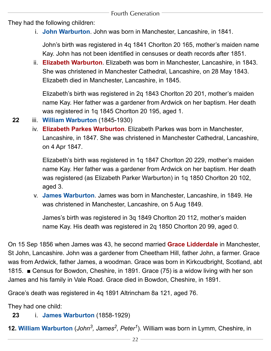<span id="page-22-5"></span><span id="page-22-2"></span>They had the following children:

i. **John Warburton**. John was born in Manchester, Lancashire, in 1841.

John's birth was registered in 4q 1841 Chorlton 20 165, mother's maiden name Kay. John has not been identified in censuses or death records after 1851.

ii. **Elizabeth Warburton**. Elizabeth was born in Manchester, Lancashire, in 1843. She was christened in Manchester Cathedral, Lancashire, on 28 May 1843. Elizabeth died in Manchester, Lancashire, in 1845.

Elizabeth's birth was registered in 2q 1843 Chorlton 20 201, mother's maiden name Kay. Her father was a gardener from Ardwick on her baptism. Her death was registered in 1q 1845 Chorlton 20 195, aged 1.

- <span id="page-22-3"></span>**22** iii. **[William Warburton](#page-37-0)** (1845-1930)
	- iv. **Elizabeth Parkes Warburton**. Elizabeth Parkes was born in Manchester, Lancashire, in 1847. She was christened in Manchester Cathedral, Lancashire, on 4 Apr 1847.

Elizabeth's birth was registered in 1q 1847 Chorlton 20 229, mother's maiden name Kay. Her father was a gardener from Ardwick on her baptism. Her death was registered (as Elizabeth Parker Warburton) in 1q 1850 Chorlton 20 102, aged 3.

<span id="page-22-4"></span>v. **James Warburton**. James was born in Manchester, Lancashire, in 1849. He was christened in Manchester, Lancashire, on 5 Aug 1849.

James's birth was registered in 3q 1849 Chorlton 20 112, mother's maiden name Kay. His death was registered in 2q 1850 Chorlton 20 99, aged 0.

<span id="page-22-1"></span>On 15 Sep 1856 when James was 43, he second married **Grace Lidderdale** in Manchester, St John, Lancashire. John was a gardener from Cheetham Hill, father John, a farmer. Grace was from Ardwick, father James, a woodman. Grace was born in Kirkcudbright, Scotland, abt 1815. ■ Census for Bowdon, Cheshire, in 1891. Grace (75) is a widow living with her son James and his family in Vale Road. Grace died in Bowdon, Cheshire, in 1891.

Grace's death was registered in 4q 1891 Altrincham 8a 121, aged 76.

<span id="page-22-0"></span>They had one child:

# **23** i. **[James Warburton](#page-39-0)** (1858-1929)

**12. William Warburton** (*[John](#page-11-0)3, [James2,](#page-5-2) [Peter1](#page-4-1)*). William was born in Lymm, Cheshire, in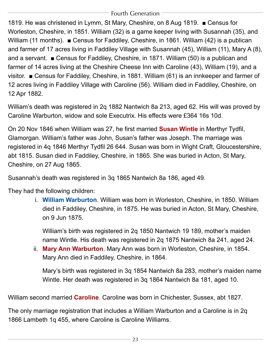1819. He was christened in Lymm, St Mary, Cheshire, on 8 Aug 1819. ■ Census for Worleston, Cheshire, in 1851. William (32) is a game keeper living with Susannah (35), and William (11 months). ■ Census for Faddiley, Cheshire, in 1861. William (42) is a publican and farmer of 17 acres living in Faddiley Village with Susannah (45), William (11), Mary A (8), and a servant. ■ Census for Faddiley, Cheshire, in 1871. William (50) is a publican and farmer of 14 acres living at the Cheshire Cheese Inn with Caroline (43), William (19), and a visitor. ■ Census for Faddiley, Cheshire, in 1881. William (61) is an innkeeper and farmer of 12 acres living in Faddiley Village with Caroline (56). William died in Faddiley, Cheshire, on 12 Apr 1882.

<span id="page-23-1"></span>William's death was registered in 2q 1882 Nantwich 8a 213, aged 62. His will was proved by Caroline Warburton, widow and sole Executrix. His effects were £364 16s 10d.

On 20 Nov 1846 when William was 27, he first married **Susan Wintle** in Merthyr Tydfil, Glamorgan. William's father was John, Susan's father was Joseph. The marriage was registered in 4q 1846 Merthyr Tydfil 26 644. Susan was born in Wight Craft, Gloucestershire, abt 1815. Susan died in Faddiley, Cheshire, in 1865. She was buried in Acton, St Mary, Cheshire, on 27 Aug 1865.

<span id="page-23-0"></span>Susannah's death was registered in 3q 1865 Nantwich 8a 186, aged 49.

They had the following children:

i. **William Warburton**. William was born in Worleston, Cheshire, in 1850. William died in Faddiley, Cheshire, in 1875. He was buried in Acton, St Mary, Cheshire, on 9 Jun 1875.

William's birth was registered in 2q 1850 Nantwich 19 189, mother's maiden name Wintle. His death was registered in 2q 1875 Nantwich 8a 241, aged 24.

<span id="page-23-3"></span>ii. **Mary Ann Warburton**. Mary Ann was born in Worleston, Cheshire, in 1854. Mary Ann died in Faddiley, Cheshire, in 1864.

Mary's birth was registered in 3q 1854 Nantwich 8a 283, mother's maiden name Wintle. Her death was registered in 3q 1864 Nantwich 8a 181, aged 10.

<span id="page-23-2"></span>William second married **Caroline**. Caroline was born in Chichester, Sussex, abt 1827.

The only marriage registration that includes a William Warburton and a Caroline is in 2q 1866 Lambeth 1q 455, where Caroline is Caroline Williams.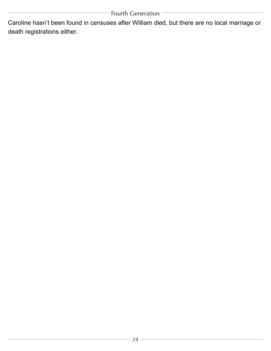Caroline hasn't been found in censuses after William died, but there are no local marriage or death registrations either.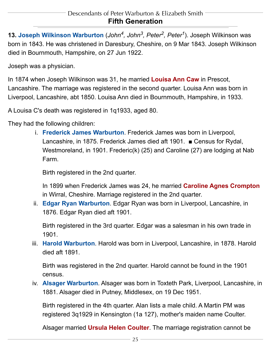<span id="page-25-1"></span><span id="page-25-0"></span>**13. Joseph Wilkinson Warburton** (*[John](#page-14-1)4, [John](#page-9-0)3, [Peter2](#page-5-1), [Peter1](#page-4-1)*). Joseph Wilkinson was born in 1843. He was christened in Daresbury, Cheshire, on 9 Mar 1843. Joseph Wilkinson died in Bournmouth, Hampshire, on 27 Jun 1922.

<span id="page-25-2"></span>Joseph was a physician.

In 1874 when Joseph Wilkinson was 31, he married **Louisa Ann Caw** in Prescot, Lancashire. The marriage was registered in the second quarter. Louisa Ann was born in Liverpool, Lancashire, abt 1850. Louisa Ann died in Bournmouth, Hampshire, in 1933.

<span id="page-25-4"></span>A Louisa C's death was registered in 1q1933, aged 80.

They had the following children:

i. **Frederick James Warburton**. Frederick James was born in Liverpool, Lancashire, in 1875. Frederick James died aft 1901. ■ Census for Rydal, Westmoreland, in 1901. Frederic(k) (25) and Caroline (27) are lodging at Nab Farm.

<span id="page-25-7"></span>Birth registered in the 2nd quarter.

In 1899 when Frederick James was 24, he married **Caroline Agnes Crompton** in Wirral, Cheshire. Marriage registered in the 2nd quarter.

<span id="page-25-3"></span>ii. **Edgar Ryan Warburton**. Edgar Ryan was born in Liverpool, Lancashire, in 1876. Edgar Ryan died aft 1901.

Birth registered in the 3rd quarter. Edgar was a salesman in his own trade in 1901.

<span id="page-25-5"></span>iii. **Harold Warburton**. Harold was born in Liverpool, Lancashire, in 1878. Harold died aft 1891.

Birth was registered in the 2nd quarter. Harold cannot be found in the 1901 census.

<span id="page-25-8"></span><span id="page-25-6"></span>iv. **Alsager Warburton**. Alsager was born in Toxteth Park, Liverpool, Lancashire, in 1881. Alsager died in Putney, Middlesex, on 19 Dec 1951.

Birth registered in the 4th quarter. Alan lists a male child. A Martin PM was registered 3q1929 in Kensington (1a 127), mother's maiden name Coulter.

Alsager married **Ursula Helen Coulter**. The marriage registration cannot be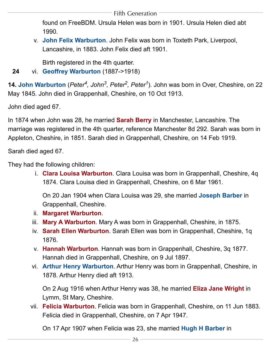found on FreeBDM. Ursula Helen was born in 1901. Ursula Helen died abt 1990.

<span id="page-26-11"></span>v. **John Felix Warburton**. John Felix was born in Toxteth Park, Liverpool, Lancashire, in 1883. John Felix died aft 1901.

Birth registered in the 4th quarter.

<span id="page-26-0"></span>**24** vi. **[Geoffrey Warburton](#page-41-1)** (1887->1918)

**14. John Warburton** (*[Peter4,](#page-15-0) [John](#page-9-0)3, [Peter2,](#page-5-1) [Peter1](#page-4-1)*). John was born in Over, Cheshire, on 22 May 1845. John died in Grappenhall, Cheshire, on 10 Oct 1913.

<span id="page-26-1"></span>John died aged 67.

In 1874 when John was 28, he married **Sarah Berry** in Manchester, Lancashire. The marriage was registered in the 4th quarter, reference Manchester 8d 292. Sarah was born in Appleton, Cheshire, in 1851. Sarah died in Grappenhall, Cheshire, on 14 Feb 1919.

<span id="page-26-5"></span>Sarah died aged 67.

<span id="page-26-12"></span><span id="page-26-3"></span>They had the following children:

i. **Clara Louisa Warburton**. Clara Louisa was born in Grappenhall, Cheshire, 4q 1874. Clara Louisa died in Grappenhall, Cheshire, on 6 Mar 1961.

On 20 Jan 1904 when Clara Louisa was 29, she married **Joseph Barber** in Grappenhall, Cheshire.

- <span id="page-26-9"></span><span id="page-26-8"></span>ii. **Margaret Warburton**.
- iii. **Mary A Warburton**. Mary A was born in Grappenhall, Cheshire, in 1875.
- <span id="page-26-7"></span>iv. **Sarah Ellen Warburton**. Sarah Ellen was born in Grappenhall, Cheshire, 1q 1876.
- <span id="page-26-4"></span>v. **Hannah Warburton**. Hannah was born in Grappenhall, Cheshire, 3q 1877. Hannah died in Grappenhall, Cheshire, on 9 Jul 1897.
- <span id="page-26-10"></span>vi. **Arthur Henry Warburton**. Arthur Henry was born in Grappenhall, Cheshire, in 1878. Arthur Henry died aft 1913.

On 2 Aug 1916 when Arthur Henry was 38, he married **Eliza Jane Wright** in Lymm, St Mary, Cheshire.

<span id="page-26-6"></span><span id="page-26-2"></span>vii. **Felicia Warburton**. Felicia was born in Grappenhall, Cheshire, on 11 Jun 1883. Felicia died in Grappenhall, Cheshire, on 7 Apr 1947.

On 17 Apr 1907 when Felicia was 23, she married **Hugh H Barber** in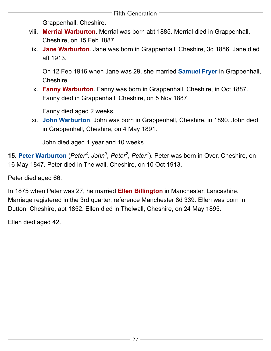Grappenhall, Cheshire.

- <span id="page-27-6"></span><span id="page-27-4"></span>viii. **Merrial Warburton**. Merrial was born abt 1885. Merrial died in Grappenhall, Cheshire, on 15 Feb 1887.
- <span id="page-27-3"></span><span id="page-27-2"></span>ix. **Jane Warburton**. Jane was born in Grappenhall, Cheshire, 3q 1886. Jane died aft 1913.

On 12 Feb 1916 when Jane was 29, she married **Samuel Fryer** in Grappenhall, Cheshire.

<span id="page-27-5"></span>x. **Fanny Warburton**. Fanny was born in Grappenhall, Cheshire, in Oct 1887. Fanny died in Grappenhall, Cheshire, on 5 Nov 1887.

Fanny died aged 2 weeks.

xi. **John Warburton**. John was born in Grappenhall, Cheshire, in 1890. John died in Grappenhall, Cheshire, on 4 May 1891.

John died aged 1 year and 10 weeks.

<span id="page-27-0"></span>**15. Peter Warburton** (*[Peter4](#page-15-0), [John](#page-9-0)3, [Peter2](#page-5-1), [Peter1](#page-4-1)*). Peter was born in Over, Cheshire, on 16 May 1847. Peter died in Thelwall, Cheshire, on 10 Oct 1913.

<span id="page-27-1"></span>Peter died aged 66.

In 1875 when Peter was 27, he married **Ellen Billington** in Manchester, Lancashire. Marriage registered in the 3rd quarter, reference Manchester 8d 339. Ellen was born in Dutton, Cheshire, abt 1852. Ellen died in Thelwall, Cheshire, on 24 May 1895.

Ellen died aged 42.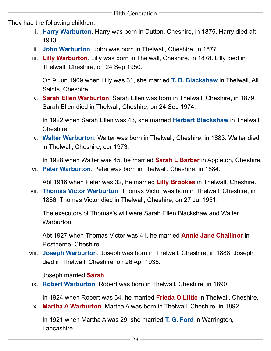<span id="page-28-10"></span><span id="page-28-6"></span><span id="page-28-2"></span>They had the following children:

- i. **Harry Warburton**. Harry was born in Dutton, Cheshire, in 1875. Harry died aft 1913.
- ii. **John Warburton**. John was born in Thelwall, Cheshire, in 1877.
- <span id="page-28-5"></span>iii. **Lilly Warburton**. Lilly was born in Thelwall, Cheshire, in 1878. Lilly died in Thelwall, Cheshire, on 24 Sep 1950.

On 9 Jun 1909 when Lilly was 31, she married **T. B. Blackshaw** in Thelwall, All Saints, Cheshire.

<span id="page-28-15"></span><span id="page-28-7"></span><span id="page-28-1"></span>iv. **Sarah Ellen Warburton**. Sarah Ellen was born in Thelwall, Cheshire, in 1879. Sarah Ellen died in Thelwall, Cheshire, on 24 Sep 1974.

In 1922 when Sarah Ellen was 43, she married **Herbert Blackshaw** in Thelwall, Cheshire.

<span id="page-28-13"></span><span id="page-28-0"></span>v. **Walter Warburton**. Walter was born in Thelwall, Cheshire, in 1883. Walter died in Thelwall, Cheshire, cur 1973.

In 1928 when Walter was 45, he married **Sarah L Barber** in Appleton, Cheshire.

<span id="page-28-8"></span><span id="page-28-4"></span>vi. **Peter Warburton**. Peter was born in Thelwall, Cheshire, in 1884.

Abt 1916 when Peter was 32, he married **Lilly Brookes** in Thelwall, Cheshire.

<span id="page-28-3"></span>vii. **Thomas Victor Warburton**. Thomas Victor was born in Thelwall, Cheshire, in 1886. Thomas Victor died in Thelwall, Cheshire, on 27 Jul 1951.

The executors of Thomas's will were Sarah Ellen Blackshaw and Walter Warburton.

Abt 1927 when Thomas Victor was 41, he married **Annie Jane Challinor** in Rostherne, Cheshire.

<span id="page-28-17"></span><span id="page-28-14"></span><span id="page-28-11"></span>viii. **Joseph Warburton**. Joseph was born in Thelwall, Cheshire, in 1888. Joseph died in Thelwall, Cheshire, on 26 Apr 1935.

Joseph married **Sarah**.

<span id="page-28-12"></span><span id="page-28-9"></span>ix. **Robert Warburton**. Robert was born in Thelwall, Cheshire, in 1890.

In 1924 when Robert was 34, he married **Frieda O Little** in Thelwall, Cheshire.

<span id="page-28-16"></span>x. **Martha A Warburton**. Martha A was born in Thelwall, Cheshire, in 1892.

In 1921 when Martha A was 29, she married **T. G. Ford** in Warrington, Lancashire.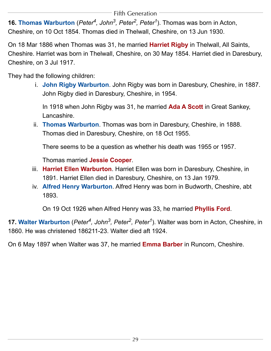<span id="page-29-3"></span><span id="page-29-0"></span>**16. Thomas Warburton** (*[Peter4](#page-15-0), [John](#page-9-0)3, [Peter2](#page-5-1), [Peter1](#page-4-1)*). Thomas was born in Acton, Cheshire, on 10 Oct 1854. Thomas died in Thelwall, Cheshire, on 13 Jun 1930.

On 18 Mar 1886 when Thomas was 31, he married **Harriet Rigby** in Thelwall, All Saints, Cheshire. Harriet was born in Thelwall, Cheshire, on 30 May 1854. Harriet died in Daresbury, Cheshire, on 3 Jul 1917.

<span id="page-29-7"></span><span id="page-29-6"></span><span id="page-29-5"></span>They had the following children:

i. **John Rigby Warburton**. John Rigby was born in Daresbury, Cheshire, in 1887. John Rigby died in Daresbury, Cheshire, in 1954.

In 1918 when John Rigby was 31, he married **Ada A Scott** in Great Sankey, Lancashire.

<span id="page-29-9"></span>ii. **Thomas Warburton**. Thomas was born in Daresbury, Cheshire, in 1888. Thomas died in Daresbury, Cheshire, on 18 Oct 1955.

There seems to be a question as whether his death was 1955 or 1957.

Thomas married **Jessie Cooper**.

- <span id="page-29-4"></span><span id="page-29-2"></span>iii. **Harriet Ellen Warburton**. Harriet Ellen was born in Daresbury, Cheshire, in 1891. Harriet Ellen died in Daresbury, Cheshire, on 13 Jan 1979.
- <span id="page-29-10"></span>iv. **Alfred Henry Warburton**. Alfred Henry was born in Budworth, Cheshire, abt 1893.

On 19 Oct 1926 when Alfred Henry was 33, he married **Phyllis Ford**.

<span id="page-29-8"></span><span id="page-29-1"></span>**17. Walter Warburton** (*[Peter4,](#page-15-0) [John](#page-9-0)3, [Peter2,](#page-5-1) [Peter1](#page-4-1)*). Walter was born in Acton, Cheshire, in 1860. He was christened 186211-23. Walter died aft 1924.

On 6 May 1897 when Walter was 37, he married **Emma Barber** in Runcorn, Cheshire.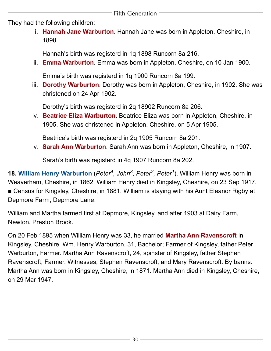<span id="page-30-4"></span><span id="page-30-3"></span>They had the following children:

i. **Hannah Jane Warburton**. Hannah Jane was born in Appleton, Cheshire, in 1898.

Hannah's birth was registerd in 1q 1898 Runcorn 8a 216.

<span id="page-30-2"></span>ii. **Emma Warburton**. Emma was born in Appleton, Cheshire, on 10 Jan 1900.

Emma's birth was registerd in 1q 1900 Runcorn 8a 199.

<span id="page-30-1"></span>iii. **Dorothy Warburton**. Dorothy was born in Appleton, Cheshire, in 1902. She was christened on 24 Apr 1902.

Dorothy's birth was registerd in 2q 18902 Runcorn 8a 206.

<span id="page-30-5"></span>iv. **Beatrice Eliza Warburton**. Beatrice Eliza was born in Appleton, Cheshire, in 1905. She was christened in Appleton, Cheshire, on 5 Apr 1905.

Beatrice's birth was registerd in 2q 1905 Runcorn 8a 201.

v. **Sarah Ann Warburton**. Sarah Ann was born in Appleton, Cheshire, in 1907.

Sarah's birth was registerd in 4q 1907 Runcorn 8a 202.

<span id="page-30-0"></span>**18. William Henry Warburton** (*[Peter4,](#page-15-0) [John](#page-9-0)3, [Peter2,](#page-5-1) [Peter1](#page-4-1)*). William Henry was born in Weaverham, Cheshire, in 1862. William Henry died in Kingsley, Cheshire, on 23 Sep 1917. ■ Census for Kingsley, Cheshire, in 1881. William is staying with his Aunt Eleanor Rigby at Depmore Farm, Depmore Lane.

<span id="page-30-6"></span>William and Martha farmed first at Depmore, Kingsley, and after 1903 at Dairy Farm, Newton, Preston Brook.

On 20 Feb 1895 when William Henry was 33, he married **Martha Ann Ravenscroft** in Kingsley, Cheshire. Wm. Henry Warburton, 31, Bachelor; Farmer of Kingsley, father Peter Warburton, Farmer. Martha Ann Ravenscroft, 24, spinster of Kingsley, father Stephen Ravenscroft, Farmer. Witnesses, Stephen Ravenscroft, and Mary Ravenscroft. By banns. Martha Ann was born in Kingsley, Cheshire, in 1871. Martha Ann died in Kingsley, Cheshire, on 29 Mar 1947.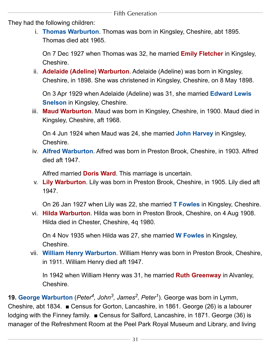<span id="page-31-12"></span><span id="page-31-9"></span><span id="page-31-4"></span>They had the following children:

i. **Thomas Warburton**. Thomas was born in Kingsley, Cheshire, abt 1895. Thomas died abt 1965.

On 7 Dec 1927 when Thomas was 32, he married **Emily Fletcher** in Kingsley, Cheshire.

<span id="page-31-8"></span>ii. **Adelaide (Adeline) Warburton**. Adelaide (Adeline) was born in Kingsley, Cheshire, in 1898. She was christened in Kingsley, Cheshire, on 8 May 1898.

On 3 Apr 1929 when Adelaide (Adeline) was 31, she married **Edward Lewis Snelson** in Kingsley, Cheshire.

<span id="page-31-11"></span><span id="page-31-7"></span>iii. **Maud Warburton**. Maud was born in Kingsley, Cheshire, in 1900. Maud died in Kingsley, Cheshire, aft 1968.

On 4 Jun 1924 when Maud was 24, she married **John Harvey** in Kingsley, Cheshire.

<span id="page-31-14"></span><span id="page-31-13"></span><span id="page-31-10"></span>iv. **Alfred Warburton**. Alfred was born in Preston Brook, Cheshire, in 1903. Alfred died aft 1947.

Alfred married **Doris Ward**. This marriage is uncertain.

<span id="page-31-5"></span><span id="page-31-3"></span>v. **Lily Warburton**. Lily was born in Preston Brook, Cheshire, in 1905. Lily died aft 1947.

On 26 Jan 1927 when Lily was 22, she married **T Fowles** in Kingsley, Cheshire.

<span id="page-31-6"></span>vi. **Hilda Warburton**. Hilda was born in Preston Brook, Cheshire, on 4 Aug 1908. Hilda died in Chester, Cheshire, 4q 1980.

On 4 Nov 1935 when Hilda was 27, she married **W Fowles** in Kingsley, Cheshire.

<span id="page-31-2"></span><span id="page-31-1"></span>vii. **William Henry Warburton**. William Henry was born in Preston Brook, Cheshire, in 1911. William Henry died aft 1947.

In 1942 when William Henry was 31, he married **Ruth Greenway** in Alvanley, Cheshire.

<span id="page-31-0"></span>**19. George Warburton** (*[Peter4](#page-17-0), [John](#page-11-0)3, [James2](#page-5-2), [Peter1](#page-4-1)*). George was born in Lymm, Cheshire, abt 1834. ■ Census for Gorton, Lancashire, in 1861. George (26) is a labourer lodging with the Finney family. ■ Census for Salford, Lancashire, in 1871. George (36) is manager of the Refreshment Room at the Peel Park Royal Museum and Library, and living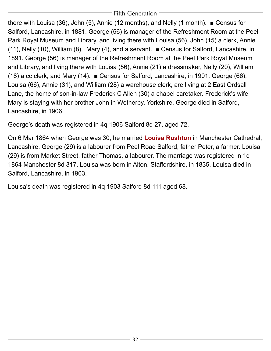there with Louisa (36), John (5), Annie (12 months), and Nelly (1 month). ■ Census for Salford, Lancashire, in 1881. George (56) is manager of the Refreshment Room at the Peel Park Royal Museum and Library, and living there with Louisa (56), John (15) a clerk, Annie (11), Nelly (10), William (8), Mary (4), and a servant. ■ Census for Salford, Lancashire, in 1891. George (56) is manager of the Refreshment Room at the Peel Park Royal Museum and Library, and living there with Louisa (56), Annie (21) a dressmaker, Nelly (20), William (18) a cc clerk, and Mary (14). ■ Census for Salford, Lancashire, in 1901. George (66), Louisa (66), Annie (31), and William (28) a warehouse clerk, are living at 2 East Ordsall Lane, the home of son-in-law Frederick C Allen (30) a chapel caretaker. Frederick's wife Mary is staying with her brother John in Wetherby, Yorkshire. George died in Salford, Lancashire, in 1906.

<span id="page-32-0"></span>George's death was registered in 4q 1906 Salford 8d 27, aged 72.

On 6 Mar 1864 when George was 30, he married **Louisa Rushton** in Manchester Cathedral, Lancashire. George (29) is a labourer from Peel Road Salford, father Peter, a farmer. Louisa (29) is from Market Street, father Thomas, a labourer. The marriage was registered in 1q 1864 Manchester 8d 317. Louisa was born in Alton, Staffordshire, in 1835. Louisa died in Salford, Lancashire, in 1903.

Louisa's death was registered in 4q 1903 Salford 8d 111 aged 68.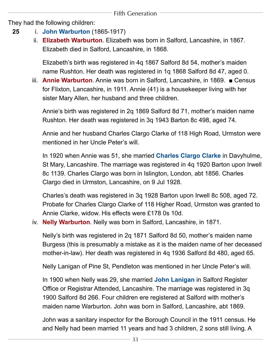<span id="page-33-4"></span>They had the following children:

- <span id="page-33-1"></span>**25** i. **[John Warburton](#page-41-2)** (1865-1917)
	- ii. **Elizabeth Warburton**. Elizabeth was born in Salford, Lancashire, in 1867. Elizabeth died in Salford, Lancashire, in 1868.

Elizabeth's birth was registered in 4q 1867 Salford 8d 54, mother's maiden name Rushton. Her death was registered in 1q 1868 Salford 8d 47, aged 0.

iii. **Annie Warburton**. Annie was born in Salford, Lancashire, in 1869. ■ Census for Flixton, Lancashire, in 1911. Annie (41) is a housekeeper living with her sister Mary Allen, her husband and three children.

Annie's birth was registered in 2q 1869 Salford 8d 71, mother's maiden name Rushton. Her death was registered in 3q 1943 Barton 8c 498, aged 74.

<span id="page-33-0"></span>Annie and her husband Charles Clargo Clarke of 118 High Road, Urmston were mentioned in her Uncle Peter's will.

In 1920 when Annie was 51, she married **Charles Clargo Clarke** in Davyhulme, St Mary, Lancashire. The marriage was registered in 4q 1920 Barton upon Irwell 8c 1139. Charles Clargo was born in Islington, London, abt 1856. Charles Clargo died in Urmston, Lancashire, on 9 Jul 1928.

Charles's death was registered in 3q 1928 Barton upon Irwell 8c 508, aged 72. Probate for Charles Clargo Clarke of 118 Higher Road, Urmston was granted to Annie Clarke, widow. His effects were £178 0s 10d.

<span id="page-33-3"></span>iv. **Nelly Warburton**. Nelly was born in Salford, Lancashire, in 1871.

Nelly's birth was registered in 2q 1871 Salford 8d 50, mother's maiden name Burgess (this is presumably a mistake as it is the maiden name of her deceased mother-in-law). Her death was registered in 4q 1936 Salford 8d 480, aged 65.

<span id="page-33-2"></span>Nelly Lanigan of Pine St, Pendleton was mentioned in her Uncle Peter's will.

In 1900 when Nelly was 29, she married **John Lanigan** in Salford Register Office or Registrar Attended, Lancashire. The marriage was registered in 3q 1900 Salford 8d 266. Four children ere registered at Salford with mother's maiden name Warburton. John was born in Salford, Lancashire, abt 1869.

John was a sanitary inspector for the Borough Council in the 1911 census. He and Nelly had been married 11 years and had 3 children, 2 sons still living. A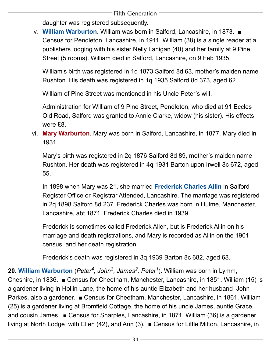daughter was registered subsequently.

<span id="page-34-2"></span>v. **William Warburton**. William was born in Salford, Lancashire, in 1873. ■ Census for Pendleton, Lancashire, in 1911. William (38) is a single reader at a publishers lodging with his sister Nelly Lanigan (40) and her family at 9 Pine Street (5 rooms). William died in Salford, Lancashire, on 9 Feb 1935.

William's birth was registered in 1q 1873 Salford 8d 63, mother's maiden name Rushton. His death was registered in 1q 1935 Salford 8d 373, aged 62.

William of Pine Street was mentioned in his Uncle Peter's will.

Administration for William of 9 Pine Street, Pendleton, who died at 91 Eccles Old Road, Salford was granted to Annie Clarke, widow (his sister). His effects were £8.

<span id="page-34-3"></span>vi. **Mary Warburton**. Mary was born in Salford, Lancashire, in 1877. Mary died in 1931.

<span id="page-34-1"></span>Mary's birth was registered in 2q 1876 Salford 8d 89, mother's maiden name Rushton. Her death was registered in 4q 1931 Barton upon Irwell 8c 672, aged 55.

In 1898 when Mary was 21, she married **Frederick Charles Allin** in Salford Register Office or Registrar Attended, Lancashire. The marriage was registered in 2q 1898 Salford 8d 237. Frederick Charles was born in Hulme, Manchester, Lancashire, abt 1871. Frederick Charles died in 1939.

Frederick is sometimes called Frederick Allen, but is Frederick Allin on his marriage and death registrations, and Mary is recorded as Allin on the 1901 census, and her death registration.

Frederick's death was registered in 3q 1939 Barton 8c 682, aged 68.

<span id="page-34-0"></span>**20. William Warburton** (*[Peter4](#page-17-0), [John](#page-11-0)3, [James2](#page-5-2), [Peter1](#page-4-1)*). William was born in Lymm, Cheshire, in 1836. ■ Census for Cheetham, Manchester, Lancashire, in 1851. William (15) is a gardener living in Hollin Lane, the home of his auntie Elizabeth and her husband John Parkes, also a gardener. ■ Census for Cheetham, Manchester, Lancashire, in 1861. William (25) is a gardener living at Bromfield Cottage, the home of his uncle James, auntie Grace, and cousin James. ■ Census for Sharples, Lancashire, in 1871. William (36) is a gardener living at North Lodge with Ellen (42), and Ann (3). ■ Census for Little Mitton, Lancashire, in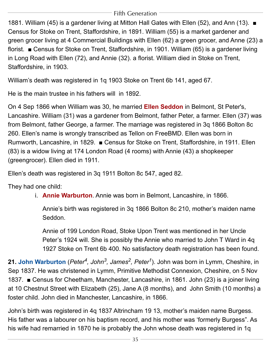1881. William (45) is a gardener living at Mitton Hall Gates with Ellen (52), and Ann (13). ■ Census for Stoke on Trent, Staffordshire, in 1891. William (55) is a market gardener and green grocer living at 4 Commercial Buildings with Ellen (62) a green grocer, and Anne (23) a florist. ■ Census for Stoke on Trent, Staffordshire, in 1901. William (65) is a gardener living in Long Road with Ellen (72), and Annie (32). a florist. William died in Stoke on Trent, Staffordshire, in 1903.

William's death was registered in 1q 1903 Stoke on Trent 6b 141, aged 67.

<span id="page-35-2"></span>He is the main trustee in his fathers will in 1892.

On 4 Sep 1866 when William was 30, he married **Ellen Seddon** in Belmont, St Peter's, Lancashire. William (31) was a gardener from Belmont, father Peter, a farmer. Ellen (37) was from Belmont, father George, a farmer. The marriage was registered in 3q 1866 Bolton 8c 260. Ellen's name is wrongly transcribed as Tellon on FreeBMD. Ellen was born in Rumworth, Lancashire, in 1829. ■ Census for Stoke on Trent, Staffordshire, in 1911. Ellen (83) is a widow living at 174 London Road (4 rooms) with Annie (43) a shopkeeper (greengrocer). Ellen died in 1911.

<span id="page-35-1"></span>Ellen's death was registered in 3q 1911 Bolton 8c 547, aged 82.

They had one child:

i. **Annie Warburton**. Annie was born in Belmont, Lancashire, in 1866.

Annie's birth was registered in 3q 1866 Bolton 8c 210, mother's maiden name Seddon.

Annie of 199 London Road, Stoke Upon Trent was mentioned in her Uncle Peter's 1924 will. She is possibly the Annie who married to John T Ward in 4q 1927 Stoke on Trent 6b 400. No satisfactory death registration has been found.

<span id="page-35-0"></span>**21. John Warburton** (*[Peter4,](#page-17-0) [John](#page-11-0)3, [James2,](#page-5-2) [Peter1](#page-4-1)*). John was born in Lymm, Cheshire, in Sep 1837. He was christened in Lymm, Primitive Methodist Connexion, Cheshire, on 5 Nov 1837. ■ Census for Cheetham, Manchester, Lancashire, in 1861. John (23) is a joiner living at 10 Chestnut Street with Elizabeth (25), Jane A (8 months), and John Smith (10 months) a foster child. John died in Manchester, Lancashire, in 1866.

John's birth was registered in 4q 1837 Altrincham 19 13, mother's maiden name Burgess. His father was a labourer on his baptism record, and his mother was 'formerly Burgess". As his wife had remarried in 1870 he is probably the John whose death was registered in 1q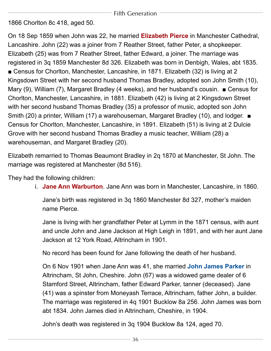<span id="page-36-2"></span>1866 Chorlton 8c 418, aged 50.

On 18 Sep 1859 when John was 22, he married **Elizabeth Pierce** in Manchester Cathedral, Lancashire. John (22) was a joiner from 7 Reather Street, father Peter, a shopkeeper. Elizabeth (25) was from 7 Reather Street, father Edward, a joiner. The marriage was registered in 3q 1859 Manchester 8d 326. Elizabeth was born in Denbigh, Wales, abt 1835. ■ Census for Chorlton, Manchester, Lancashire, in 1871. Elizabeth (32) is living at 2 Kingsdown Street with her second husband Thomas Bradley, adopted son John Smith (10), Mary (9), William (7), Margaret Bradley (4 weeks), and her husband's cousin. ■ Census for Chorlton, Manchester, Lancashire, in 1881. Elizabeth (42) is living at 2 Kingsdown Street with her second husband Thomas Bradley (35) a professor of music, adopted son John Smith (20) a printer, William (17) a warehouseman, Margaret Bradley (10), and lodger. ■ Census for Chorlton, Manchester, Lancashire, in 1891. Elizabeth (51) is living at 2 Dulcie Grove with her second husband Thomas Bradley a music teacher, William (28) a warehouseman, and Margaret Bradley (20).

Elizabeth remarried to Thomas Beaumont Bradley in 2q 1870 at Manchester, St John. The marriage was registered at Manchester (8d 516).

<span id="page-36-1"></span>They had the following children:

i. **Jane Ann Warburton**. Jane Ann was born in Manchester, Lancashire, in 1860.

Jane's birth was registered in 3q 1860 Manchester 8d 327, mother's maiden name Pierce.

Jane is living with her grandfather Peter at Lymm in the 1871 census, with aunt and uncle John and Jane Jackson at High Leigh in 1891, and with her aunt Jane Jackson at 12 York Road, Altrincham in 1901.

<span id="page-36-0"></span>No record has been found for Jane following the death of her husband.

On 6 Nov 1901 when Jane Ann was 41, she married **John James Parker** in Altrincham, St John, Cheshire. John (67) was a widowed game dealer of 6 Stamford Street, Altrincham, father Edward Parker, tanner (deceased). Jane (41) was a spinster from Moneyash Terrace, Altrincham, father John, a builder. The marriage was registered in 4q 1901 Bucklow 8a 256. John James was born abt 1834. John James died in Altrincham, Cheshire, in 1904.

John's death was registered in 3q 1904 Bucklow 8a 124, aged 70.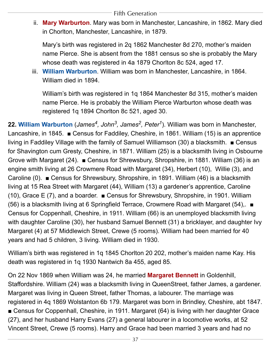<span id="page-37-2"></span>ii. **Mary Warburton**. Mary was born in Manchester, Lancashire, in 1862. Mary died in Chorlton, Manchester, Lancashire, in 1879.

Mary's birth was registered in 2q 1862 Manchester 8d 270, mother's maiden name Pierce. She is absent from the 1881 census so she is probably the Mary whose death was registered in 4a 1879 Chorlton 8c 524, aged 17.

<span id="page-37-3"></span>iii. **William Warburton**. William was born in Manchester, Lancashire, in 1864. William died in 1894.

William's birth was registered in 1q 1864 Manchester 8d 315, mother's maiden name Pierce. He is probably the William Pierce Warburton whose death was registered 1q 1894 Chorlton 8c 521, aged 30.

<span id="page-37-0"></span>**22. William Warburton** (*[James4,](#page-21-0) [John](#page-11-0)3, [James2,](#page-5-2) [Peter1](#page-4-1)*). William was born in Manchester, Lancashire, in 1845. ■ Census for Faddiley, Cheshire, in 1861. William (15) is an apprentice living in Faddiley Village with the family of Samuel Williamson (30) a blacksmith. ■ Census for Shavington cum Gresty, Cheshire, in 1871. William (25) is a blacksmith living in Osbourne Grove with Margaret (24). ■ Census for Shrewsbury, Shropshire, in 1881. William (36) is an engine smith living at 26 Crowmere Road with Margaret (34), Herbert (10), Willie (3), and Caroline (0). ■ Census for Shrewsbury, Shropshire, in 1891. William (46) is a blacksmith living at 15 Rea Street with Margaret (44), William (13) a gardener's apprentice, Caroline (10), Grace E (7), and a boarder. ■ Census for Shrewsbury, Shropshire, in 1901. William (56) is a blacksmith living at 6 Springfield Terrace, Crowmere Road with Margaret (54),. ■ Census for Coppenhall, Cheshire, in 1911. William (66) is an unemployed blacksmith living with daughter Caroline (30), her husband Samuel Bennett (31) a bricklayer, and daughter Ivy Margaret (4) at 57 Middlewich Street, Crewe (5 rooms). William had been married for 40 years and had 5 children, 3 living. William died in 1930.

<span id="page-37-1"></span>William's birth was registered in 1q 1845 Chorlton 20 202, mother's maiden name Kay. His death was registered in 1q 1930 Nantwich 8a 455, aged 85.

On 22 Nov 1869 when William was 24, he married **Margaret Bennett** in Goldenhill, Staffordshire. William (24) was a blacksmith living in QueenStreet, father James, a gardener. Margaret was living in Queen Street, father Thomas, a labourer. The marriage was registered in 4q 1869 Wolstanton 6b 179. Margaret was born in Brindley, Cheshire, abt 1847. ■ Census for Coppenhall, Cheshire, in 1911. Margaret (64) is living with her daughter Grace (27), and her husband Harry Evans (27) a general labourer in a locomotive works, at 52 Vincent Street, Crewe (5 rooms). Harry and Grace had been married 3 years and had no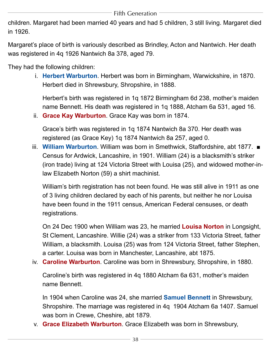children. Margaret had been married 40 years and had 5 children, 3 still living. Margaret died in 1926.

Margaret's place of birth is variously described as Brindley, Acton and Nantwich. Her death was registered in 4q 1926 Nantwich 8a 378, aged 79.

<span id="page-38-6"></span><span id="page-38-1"></span>They had the following children:

i. **Herbert Warburton**. Herbert was born in Birmingham, Warwickshire, in 1870. Herbert died in Shrewsbury, Shropshire, in 1888.

Herbert's birth was registered in 1q 1872 Birmingham 6d 238, mother's maiden name Bennett. His death was registered in 1q 1888, Atcham 6a 531, aged 16.

<span id="page-38-0"></span>ii. **Grace Kay Warburton**. Grace Kay was born in 1874.

Grace's birth was registered in 1q 1874 Nantwich 8a 370. Her death was registered (as Grace Key) 1q 1874 Nantwich 8a 257, aged 0.

iii. **William Warburton**. William was born in Smethwick, Staffordshire, abt 1877. ■ Census for Ardwick, Lancashire, in 1901. William (24) is a blacksmith's striker (iron trade) living at 124 Victoria Street with Louisa (25), and widowed mother-inlaw Elizabeth Norton (59) a shirt machinist.

William's birth registration has not been found. He was still alive in 1911 as one of 3 living children declared by each of his parents, but neither he nor Louisa have been found in the 1911 census, American Federal censuses, or death registrations.

<span id="page-38-3"></span>On 24 Dec 1900 when William was 23, he married **Louisa Norton** in Longsight, St Clement, Lancashire. Willie (24) was a striker from 133 Victoria Street, father William, a blacksmith. Louisa (25) was from 124 Victoria Street, father Stephen, a carter. Louisa was born in Manchester, Lancashire, abt 1875.

<span id="page-38-4"></span><span id="page-38-2"></span>iv. **Caroline Warburton**. Caroline was born in Shrewsbury, Shropshire, in 1880.

Caroline's birth was registered in 4q 1880 Atcham 6a 631, mother's maiden name Bennett.

In 1904 when Caroline was 24, she married **Samuel Bennett** in Shrewsbury, Shropshire. The marriage was registered in 4q 1904 Atcham 6a 1407. Samuel was born in Crewe, Cheshire, abt 1879.

<span id="page-38-5"></span>v. **Grace Elizabeth Warburton**. Grace Elizabeth was born in Shrewsbury,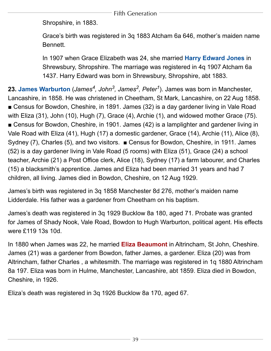Shropshire, in 1883.

<span id="page-39-2"></span>Grace's birth was registered in 3q 1883 Atcham 6a 646, mother's maiden name Bennett.

In 1907 when Grace Elizabeth was 24, she married **Harry Edward Jones** in Shrewsbury, Shropshire. The marriage was registered in 4q 1907 Atcham 6a 1437. Harry Edward was born in Shrewsbury, Shropshire, abt 1883.

<span id="page-39-0"></span>23. **James Warburton** (*James<sup>4</sup>, [John](#page-11-0)<sup>3</sup>, James<sup>2</sup>, Peter<sup>1</sup>). James was born in Manchester,* Lancashire, in 1858. He was christened in Cheetham, St Mark, Lancashire, on 22 Aug 1858. ■ Census for Bowdon, Cheshire, in 1891. James (32) is a day gardener living in Vale Road with Eliza (31), John (10), Hugh (7), Grace (4), Archie (1), and widowed mother Grace (75). ■ Census for Bowdon, Cheshire, in 1901. James (42) is a lamplighter and gardener living in Vale Road with Eliza (41), Hugh (17) a domestic gardener, Grace (14), Archie (11), Alice (8), Sydney (7), Charles (5), and two visitors. ■ Census for Bowdon, Cheshire, in 1911. James (52) is a day gardener living in Vale Road (5 rooms) with Eliza (51), Grace (24) a school teacher, Archie (21) a Post Office clerk, Alice (18), Sydney (17) a farm labourer, and Charles (15) a blacksmith's apprentice. James and Eliza had been married 31 years and had 7 children, all living. James died in Bowdon, Cheshire, on 12 Aug 1929.

James's birth was registered in 3q 1858 Manchester 8d 276, mother's maiden name Lidderdale. His father was a gardener from Cheetham on his baptism.

<span id="page-39-1"></span>James's death was registered in 3q 1929 Bucklow 8a 180, aged 71. Probate was granted for James of Shady Nook, Vale Road, Bowdon to Hugh Warburton, political agent. His effects were £119 13s 10d.

In 1880 when James was 22, he married **Eliza Beaumont** in Altrincham, St John, Cheshire. James (21) was a gardener from Bowdon, father James, a gardener. Eliza (20) was from Altrincham, father Charles , a whitesmith. The marriage was registered in 1q 1880 Altrincham 8a 197. Eliza was born in Hulme, Manchester, Lancashire, abt 1859. Eliza died in Bowdon, Cheshire, in 1926.

Eliza's death was registered in 3q 1926 Bucklow 8a 170, aged 67.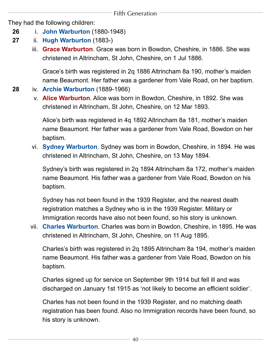<span id="page-40-2"></span>They had the following children:

- **26** i. **[John Warburton](#page-43-0)** (1880-1948)
- **27** ii. **[Hugh Warburton](#page-44-0)** (1883-)
	- iii. **Grace Warburton**. Grace was born in Bowdon, Cheshire, in 1886. She was christened in Altrincham, St John, Cheshire, on 1 Jul 1886.

Grace's birth was registered in 2q 1886 Altrincham 8a 190, mother's maiden name Beaumont. Her father was a gardener from Vale Road, on her baptism.

- <span id="page-40-0"></span>**28** iv. **[Archie Warburton](#page-45-0)** (1889-1966)
	- v. **Alice Warburton**. Alice was born in Bowdon, Cheshire, in 1892. She was christened in Altrincham, St John, Cheshire, on 12 Mar 1893.

Alice's birth was registered in 4q 1892 Altrincham 8a 181, mother's maiden name Beaumont. Her father was a gardener from Vale Road, Bowdon on her baptism.

<span id="page-40-3"></span>vi. **Sydney Warburton**. Sydney was born in Bowdon, Cheshire, in 1894. He was christened in Altrincham, St John, Cheshire, on 13 May 1894.

Sydney's birth was registered in 2q 1894 Altrincham 8a 172, mother's maiden name Beaumont. His father was a gardener from Vale Road, Bowdon on his baptism.

Sydney has not been found in the 1939 Register, and the nearest death registration matches a Sydney who is in the 1939 Register. Military or Immigration records have also not been found, so his story is unknown.

<span id="page-40-1"></span>vii. **Charles Warburton**. Charles was born in Bowdon, Cheshire, in 1895. He was christened in Altrincham, St John, Cheshire, on 11 Aug 1895.

Charles's birth was registered in 2q 1895 Altrincham 8a 194, mother's maiden name Beaumont. His father was a gardener from Vale Road, Bowdon on his baptism.

Charles signed up for service on September 9th 1914 but fell ill and was discharged on January 1st 1915 as 'not likely to become an efficient soldier'.

Charles has not been found in the 1939 Register, and no matching death registration has been found. Also no Immigration records have been found, so his story is unknown.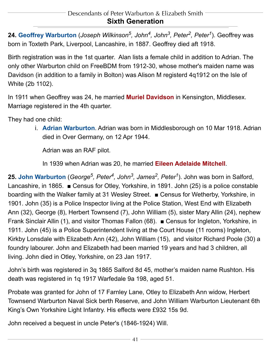<span id="page-41-1"></span><span id="page-41-0"></span>**24. Geoffrey Warburton** (*[Joseph Wilkinson5](#page-25-1), [John](#page-14-1)4, [John](#page-9-0)3, [Peter2](#page-5-1), [Peter1](#page-4-1)*). Geoffrey was born in Toxteth Park, Liverpool, Lancashire, in 1887. Geoffrey died aft 1918.

Birth registration was in the 1st quarter. Alan lists a female child in addition to Adrian. The only other Warburton child on FreeBDM from 1912-30, whose mother's maiden name was Davidson (in addition to a family in Bolton) was Alison M registerd 4q1912 on the Isle of White (2b 1102).

<span id="page-41-3"></span>In 1911 when Geoffrey was 24, he married **Muriel Davidson** in Kensington, Middlesex. Marriage registered in the 4th quarter.

<span id="page-41-5"></span><span id="page-41-4"></span>They had one child:

i. **Adrian Warburton**. Adrian was born in Middlesborough on 10 Mar 1918. Adrian died in Over Germany, on 12 Apr 1944.

Adrian was an RAF pilot.

In 1939 when Adrian was 20, he married **Eileen Adelaide Mitchell**.

<span id="page-41-2"></span>**25. John Warburton** (*[George](#page-31-0)5, [Peter4](#page-17-0), [John](#page-11-0)3, [James2,](#page-5-2) [Peter1](#page-4-1)*). John was born in Salford, Lancashire, in 1865. ■ Census for Otley, Yorkshire, in 1891. John (25) is a police constable boarding with the Walker family at 31 Wesley Street. ■ Census for Wetherby, Yorkshire, in 1901. John (35) is a Police Inspector living at the Police Station, West End with Elizabeth Ann (32), George (8), Herbert Townsend (7), John William (5), sister Mary Allin (24), nephew Frank Sinclair Allin (1), and visitor Thomas Fallon (68). ■ Census for Ingleton, Yorkshire, in 1911. John (45) is a Police Superintendent living at the Court House (11 rooms) Ingleton, Kirkby Lonsdale with Elizabeth Ann (42), John William (15), and visitor Richard Poole (30) a foundry labourer. John and Elizabeth had been married 19 years and had 3 children, all living. John died in Otley, Yorkshire, on 23 Jan 1917.

John's birth was registered in 3q 1865 Salford 8d 45, mother's maiden name Rushton. His death was registered in 1q 1917 Warfedale 9a 198, aged 51.

Probate was granted for John of 17 Farnley Lane, Otley to Elizabeth Ann widow, Herbert Townsend Warburton Naval Sick berth Reserve, and John William Warburton Lieutenant 6th King's Own Yorkshire Light Infantry. His effects were £932 15s 9d.

John received a bequest in uncle Peter's (1846-1924) Will.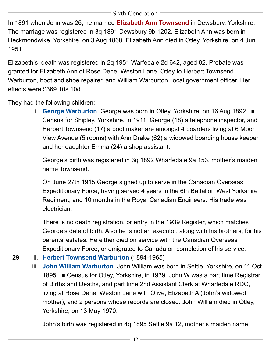<span id="page-42-0"></span>In 1891 when John was 26, he married **Elizabeth Ann Townsend** in Dewsbury, Yorkshire. The marriage was registered in 3q 1891 Dewsbury 9b 1202. Elizabeth Ann was born in Heckmondwike, Yorkshire, on 3 Aug 1868. Elizabeth Ann died in Otley, Yorkshire, on 4 Jun 1951.

Elizabeth's death was registered in 2q 1951 Warfedale 2d 642, aged 82. Probate was granted for Elizabeth Ann of Rose Dene, Weston Lane, Otley to Herbert Townsend Warburton, boot and shoe repairer, and William Warburton, local government officer. Her effects were £369 10s 10d.

<span id="page-42-2"></span>They had the following children:

i. **George Warburton**. George was born in Otley, Yorkshire, on 16 Aug 1892. ■ Census for Shipley, Yorkshire, in 1911. George (18) a telephone inspector, and Herbert Townsend (17) a boot maker are amongst 4 boarders living at 6 Moor View Avenue (5 rooms) with Ann Drake (62) a widowed boarding house keeper, and her daughter Emma (24) a shop assistant.

George's birth was registered in 3q 1892 Wharfedale 9a 153, mother's maiden name Townsend.

On June 27th 1915 George signed up to serve in the Canadian Overseas Expeditionary Force, having served 4 years in the 6th Battalion West Yorkshire Regiment, and 10 months in the Royal Canadian Engineers. His trade was electrician.

There is no death registration, or entry in the 1939 Register, which matches George's date of birth. Also he is not an executor, along with his brothers, for his parents' estates. He either died on service with the Canadian Overseas Expeditionary Force, or emigrated to Canada on completion of his service.

- <span id="page-42-1"></span>**29** ii. **[Herbert Townsend Warburton](#page-47-1)** (1894-1965)
	- iii. **John William Warburton**. John William was born in Settle, Yorkshire, on 11 Oct 1895. ■ Census for Otley, Yorkshire, in 1939. John W was a part time Registrar of Births and Deaths, and part time 2nd Assistant Clerk at Wharfedale RDC, living at Rose Dene, Weston Lane with Olive, Elizabeth A (John's widowed mother), and 2 persons whose records are closed. John William died in Otley, Yorkshire, on 13 May 1970.

John's birth was registered in 4q 1895 Settle 9a 12, mother's maiden name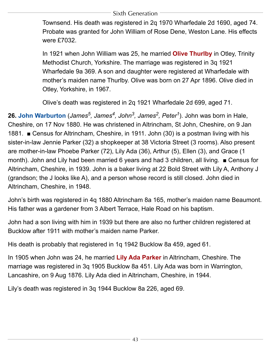<span id="page-43-2"></span>Townsend. His death was registered in 2q 1970 Wharfedale 2d 1690, aged 74. Probate was granted for John William of Rose Dene, Weston Lane. His effects were £7032.

In 1921 when John William was 25, he married **Olive Thurlby** in Otley, Trinity Methodist Church, Yorkshire. The marriage was registered in 3q 1921 Wharfedale 9a 369. A son and daughter were registered at Wharfedale with mother's maiden name Thurlby. Olive was born on 27 Apr 1896. Olive died in Otley, Yorkshire, in 1967.

Olive's death was registered in 2q 1921 Wharfedale 2d 699, aged 71.

<span id="page-43-0"></span>**26. John Warburton** (*[James5,](#page-39-0) [James4](#page-21-0), [John](#page-11-0)3, [James2](#page-5-2), [Peter1](#page-4-1)*). John was born in Hale, Cheshire, on 17 Nov 1880. He was christened in Altrincham, St John, Cheshire, on 9 Jan 1881. ■ Census for Altrincham, Cheshire, in 1911. John (30) is a postman living with his sister-in-law Jennie Parker (32) a shopkeeper at 38 Victoria Street (3 rooms). Also present are mother-in-law Phoebe Parker (72), Lily Ada (36), Arthur (5), Ellen (3), and Grace (1 month). John and Lily had been married 6 years and had 3 children, all living. ■ Census for Altrincham, Cheshire, in 1939. John is a baker living at 22 Bold Street with Lily A, Anthony J (grandson; the J looks like A), and a person whose record is still closed. John died in Altrincham, Cheshire, in 1948.

John's birth was registered in 4q 1880 Altrincham 8a 165, mother's maiden name Beaumont. His father was a gardener from 3 Albert Terrace, Hale Road on his baptism.

John had a son living with him in 1939 but there are also no further children registered at Bucklow after 1911 with mother's maiden name Parker.

<span id="page-43-1"></span>His death is probably that registered in 1q 1942 Bucklow 8a 459, aged 61.

In 1905 when John was 24, he married **Lily Ada Parker** in Altrincham, Cheshire. The marriage was registered in 3q 1905 Bucklow 8a 451. Lily Ada was born in Warrington, Lancashire, on 9 Aug 1876. Lily Ada died in Altrincham, Cheshire, in 1944.

Lily's death was registered in 3q 1944 Bucklow 8a 226, aged 69.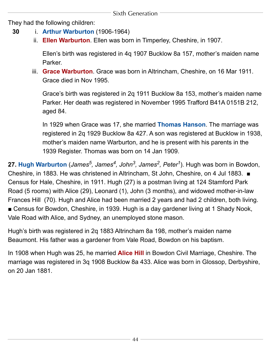<span id="page-44-3"></span>They had the following children:

- <span id="page-44-1"></span>**30** i. **[Arthur Warburton](#page-47-2)** (1906-1964)
	- ii. **Ellen Warburton**. Ellen was born in Timperley, Cheshire, in 1907.

Ellen's birth was registered in 4q 1907 Bucklow 8a 157, mother's maiden name Parker.

iii. **Grace Warburton**. Grace was born in Altrincham, Cheshire, on 16 Mar 1911. Grace died in Nov 1995.

<span id="page-44-4"></span>Grace's birth was registered in 2q 1911 Bucklow 8a 153, mother's maiden name Parker. Her death was registered in November 1995 Trafford B41A 0151B 212, aged 84.

In 1929 when Grace was 17, she married **Thomas Hanson**. The marriage was registered in 2q 1929 Bucklow 8a 427. A son was registered at Bucklow in 1938, mother's maiden name Warburton, and he is present with his parents in the 1939 Register. Thomas was born on 14 Jan 1909.

<span id="page-44-0"></span>**27. Hugh Warburton** (*[James5,](#page-39-0) [James4,](#page-21-0) [John](#page-11-0)3, [James2,](#page-5-2) [Peter1](#page-4-1)*). Hugh was born in Bowdon, Cheshire, in 1883. He was christened in Altrincham, St John, Cheshire, on 4 Jul 1883. ■ Census for Hale, Cheshire, in 1911. Hugh (27) is a postman living at 124 Stamford Park Road (5 rooms) with Alice (29), Leonard (1), John (3 months), and widowed mother-in-law Frances Hill (70). Hugh and Alice had been married 2 years and had 2 children, both living. ■ Census for Bowdon, Cheshire, in 1939. Hugh is a day gardener living at 1 Shady Nook, Vale Road with Alice, and Sydney, an unemployed stone mason.

<span id="page-44-2"></span>Hugh's birth was registered in 2q 1883 Altrincham 8a 198, mother's maiden name Beaumont. His father was a gardener from Vale Road, Bowdon on his baptism.

In 1908 when Hugh was 25, he married **Alice Hill** in Bowdon Civil Marriage, Cheshire. The marriage was registered in 3q 1908 Bucklow 8a 433. Alice was born in Glossop, Derbyshire, on 20 Jan 1881.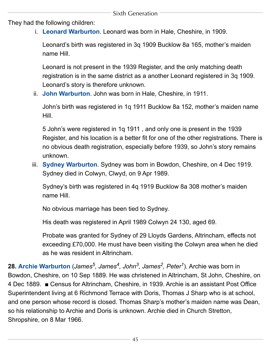<span id="page-45-3"></span>They had the following children:

i. **Leonard Warburton**. Leonard was born in Hale, Cheshire, in 1909.

Leonard's birth was registered in 3q 1909 Bucklow 8a 165, mother's maiden name Hill.

Leonard is not present in the 1939 Register, and the only matching death registration is in the same district as a another Leonard registered in 3q 1909. Leonard's story is therefore unknown.

<span id="page-45-2"></span>ii. **John Warburton**. John was born in Hale, Cheshire, in 1911.

John's birth was registered in 1q 1911 Bucklow 8a 152, mother's maiden name Hill.

5 John's were registered in 1q 1911 , and only one is present in the 1939 Register, and his location is a better fit for one of the other registrations. There is no obvious death registration, especially before 1939, so John's story remains unknown.

<span id="page-45-1"></span>iii. **Sydney Warburton**. Sydney was born in Bowdon, Cheshire, on 4 Dec 1919. Sydney died in Colwyn, Clwyd, on 9 Apr 1989.

Sydney's birth was registered in 4q 1919 Bucklow 8a 308 mother's maiden name Hill.

No obvious marriage has been tied to Sydney.

His death was registered in April 1989 Colwyn 24 130, aged 69.

Probate was granted for Sydney of 29 Lloyds Gardens, Altrincham, effects not exceeding £70,000. He must have been visiting the Colwyn area when he died as he was resident in Altrincham.

<span id="page-45-0"></span>**28. Archie Warburton** (*[James5,](#page-39-0) [James4,](#page-21-0) [John](#page-11-0)3, [James2](#page-5-2), [Peter1](#page-4-1)*). Archie was born in Bowdon, Cheshire, on 10 Sep 1889. He was christened in Altrincham, St John, Cheshire, on 4 Dec 1889. ■ Census for Altrincham, Cheshire, in 1939. Archie is an assistant Post Office Superintendent living at 6 Richmond Terrace with Doris, Thomas J Sharp who is at school, and one person whose record is closed. Thomas Sharp's mother's maiden name was Dean, so his relationship to Archie and Doris is unknown. Archie died in Church Stretton, Shropshire, on 8 Mar 1966.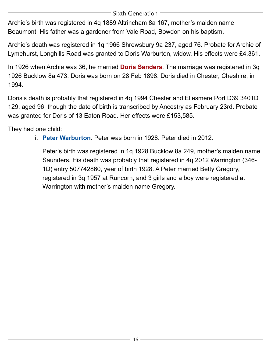Archie's birth was registered in 4q 1889 Altrincham 8a 167, mother's maiden name Beaumont. His father was a gardener from Vale Road, Bowdon on his baptism.

<span id="page-46-0"></span>Archie's death was registered in 1q 1966 Shrewsbury 9a 237, aged 76. Probate for Archie of Lymehurst, Longhills Road was granted to Doris Warburton, widow. His effects were £4,361.

In 1926 when Archie was 36, he married **Doris Sanders**. The marriage was registered in 3q 1926 Bucklow 8a 473. Doris was born on 28 Feb 1898. Doris died in Chester, Cheshire, in 1994.

Doris's death is probably that registered in 4q 1994 Chester and Ellesmere Port D39 3401D 129, aged 96, though the date of birth is transcribed by Ancestry as February 23rd. Probate was granted for Doris of 13 Eaton Road. Her effects were £153,585.

<span id="page-46-1"></span>They had one child:

i. **Peter Warburton**. Peter was born in 1928. Peter died in 2012.

Peter's birth was registered in 1q 1928 Bucklow 8a 249, mother's maiden name Saunders. His death was probably that registered in 4q 2012 Warrington (346- 1D) entry 507742860, year of birth 1928. A Peter married Betty Gregory, registered in 3q 1957 at Runcorn, and 3 girls and a boy were registered at Warrington with mother's maiden name Gregory.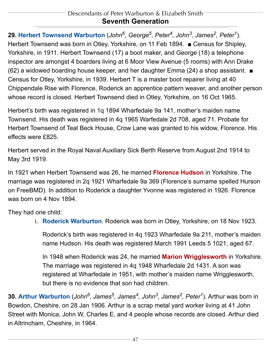#### Descendants of Peter Warburton & Elizabeth Smith **Seventh Generation**

<span id="page-47-1"></span><span id="page-47-0"></span>**29. Herbert Townsend Warburton** (*[John](#page-41-2)6, [George](#page-31-0)5, [Peter4](#page-17-0), [John](#page-11-0)3, [James2](#page-5-2), [Peter1](#page-4-1)*). Herbert Townsend was born in Otley, Yorkshire, on 11 Feb 1894. ■ Census for Shipley, Yorkshire, in 1911. Herbert Townsend (17) a boot maker, and George (18) a telephone inspector are amongst 4 boarders living at 6 Moor View Avenue (5 rooms) with Ann Drake (62) a widowed boarding house keeper, and her daughter Emma (24) a shop assistant. ■ Census for Otley, Yorkshire, in 1939. Herbert T is a master boot repairer living at 40 Chippendale Rise with Florence, Roderick an apprentice pattern weaver, and another person whose record is closed. Herbert Townsend died in Otley, Yorkshire, on 16 Oct 1965.

Herbert's birth was registered in 1q 1894 Wharfedale 9a 141, mother's maiden name Townsend. His death was registered in 4q 1965 Warfedale 2d 708, aged 71. Probate for Herbert Townsend of Teal Beck House, Crow Lane was granted to his widow, Florence. His effects were £825.

<span id="page-47-4"></span>Herbert served in the Royal Naval Auxiliary Sick Berth Reserve from August 2nd 1914 to May 3rd 1919.

In 1921 when Herbert Townsend was 26, he married **Florence Hudson** in Yorkshire. The marriage was registered in 2q 1921 Wharfedale 9a 369 (Florence's surname spelled Hurson on FreeBMD). In addition to Roderick a daughter Yvonne was registered in 1926. Florence was born on 4 Nov 1894.

<span id="page-47-5"></span><span id="page-47-3"></span>They had one child:

i. **Roderick Warburton**. Roderick was born in Otley, Yorkshire, on 18 Nov 1923.

Roderick's birth was registered in 4q 1923 Wharfedale 9a 211, mother's maiden name Hudson. His death was registered March 1991 Leeds 5 1021, aged 67.

In 1948 when Roderick was 24, he married **Marion Wrigglesworth** in Yorkshire. The marriage was registered in 4q 1948 Wharfedale 2d 1431. A son was registered at Wharfedale in 1951, with mother's maiden name Wrigglesworth, but there is no evidence that son had children.

<span id="page-47-2"></span>**30. Arthur Warburton** (*[John](#page-43-0)6, [James5,](#page-39-0) [James4,](#page-21-0) [John](#page-11-0)3, [James2,](#page-5-2) [Peter1](#page-4-1)*). Arthur was born in Bowdon, Cheshire, on 28 Jan 1906. Arthur is a scrap metal yard worker living at 41 John Street with Monica, John W, Charles E, and 4 people whose records are closed. Arthur died in Altrincham, Cheshire, in 1964.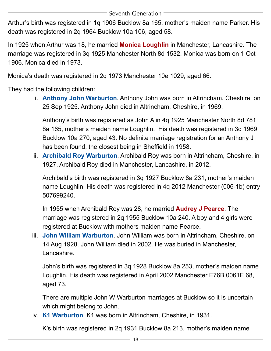<span id="page-48-4"></span>Arthur's birth was registered in 1q 1906 Bucklow 8a 165, mother's maiden name Parker. His death was registered in 2q 1964 Bucklow 10a 106, aged 58.

In 1925 when Arthur was 18, he married **Monica Loughlin** in Manchester, Lancashire. The marriage was registered in 3q 1925 Manchester North 8d 1532. Monica was born on 1 Oct 1906. Monica died in 1973.

<span id="page-48-0"></span>Monica's death was registered in 2q 1973 Manchester 10e 1029, aged 66.

They had the following children:

i. **Anthony John Warburton**. Anthony John was born in Altrincham, Cheshire, on 25 Sep 1925. Anthony John died in Altrincham, Cheshire, in 1969.

Anthony's birth was registered as John A in 4q 1925 Manchester North 8d 781 8a 165, mother's maiden name Loughlin. His death was registered in 3q 1969 Bucklow 10a 270, aged 43. No definite marriage registration for an Anthony J has been found, the closest being in Sheffield in 1958.

<span id="page-48-1"></span>ii. **Archibald Roy Warburton**. Archibald Roy was born in Altrincham, Cheshire, in 1927. Archibald Roy died in Manchester, Lancashire, in 2012.

<span id="page-48-5"></span>Archibald's birth was registered in 3q 1927 Bucklow 8a 231, mother's maiden name Loughlin. His death was registered in 4q 2012 Manchester (006-1b) entry 507699240.

In 1955 when Archibald Roy was 28, he married **Audrey J Pearce**. The marriage was registered in 2q 1955 Bucklow 10a 240. A boy and 4 girls were registered at Bucklow with mothers maiden name Pearce.

<span id="page-48-2"></span>iii. **John William Warburton**. John William was born in Altrincham, Cheshire, on 14 Aug 1928. John William died in 2002. He was buried in Manchester, Lancashire.

John's birth was registered in 3q 1928 Bucklow 8a 253, mother's maiden name Loughlin. His death was registered in April 2002 Manchester E76B 0061E 68, aged 73.

There are multiple John W Warburton marriages at Bucklow so it is uncertain which might belong to John.

<span id="page-48-3"></span>iv. **K1 Warburton**. K1 was born in Altrincham, Cheshire, in 1931.

K's birth was registered in 2q 1931 Bucklow 8a 213, mother's maiden name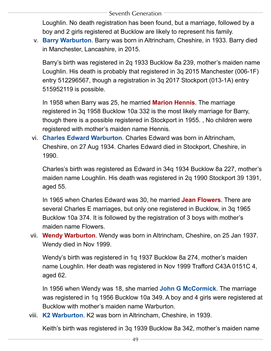Loughlin. No death registration has been found, but a marriage, followed by a boy and 2 girls registered at Bucklow are likely to represent his family.

<span id="page-49-0"></span>v. **Barry Warburton**. Barry was born in Altrincham, Cheshire, in 1933. Barry died in Manchester, Lancashire, in 2015.

Barry's birth was registered in 2q 1933 Bucklow 8a 239, mother's maiden name Loughlin. His death is probably that registered in 3q 2015 Manchester (006-1F) entry 512296567, though a registration in 3q 2017 Stockport (013-1A) entry 515952119 is possible.

<span id="page-49-5"></span>In 1958 when Barry was 25, he married **Marion Hennis**. The marriage registered in 3q 1958 Bucklow 10a 332 is the most likely marriage for Barry, though there is a possible registered in Stockport in 1955. , No children were registered with mother's maiden name Hennis.

<span id="page-49-1"></span>vi. **Charles Edward Warburton**. Charles Edward was born in Altrincham, Cheshire, on 27 Aug 1934. Charles Edward died in Stockport, Cheshire, in 1990.

<span id="page-49-4"></span>Charles's birth was registered as Edward in 34q 1934 Bucklow 8a 227, mother's maiden name Loughlin. His death was registered in 2q 1990 Stockport 39 1391, aged 55.

In 1965 when Charles Edward was 30, he married **Jean Flowers**. There are several Charles E marriages, but only one registered in Bucklow, in 3q 1965 Bucklow 10a 374. It is followed by the registration of 3 boys with mother's maiden name Flowers.

<span id="page-49-3"></span>vii. **Wendy Warburton**. Wendy was born in Altrincham, Cheshire, on 25 Jan 1937. Wendy died in Nov 1999.

<span id="page-49-6"></span>Wendy's birth was registered in 1q 1937 Bucklow 8a 274, mother's maiden name Loughlin. Her death was registered in Nov 1999 Trafford C43A 0151C 4, aged 62.

In 1956 when Wendy was 18, she married **John G McCormick**. The marriage was registered in 1q 1956 Bucklow 10a 349. A boy and 4 girls were registered at Bucklow with mother's maiden name Warburton.

<span id="page-49-2"></span>viii. **K2 Warburton**. K2 was born in Altrincham, Cheshire, in 1939.

Keith's birth was registered in 3q 1939 Bucklow 8a 342, mother's maiden name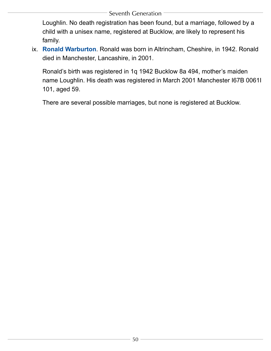Loughlin. No death registration has been found, but a marriage, followed by a child with a unisex name, registered at Bucklow, are likely to represent his family.

<span id="page-50-0"></span>ix. **Ronald Warburton**. Ronald was born in Altrincham, Cheshire, in 1942. Ronald died in Manchester, Lancashire, in 2001.

Ronald's birth was registered in 1q 1942 Bucklow 8a 494, mother's maiden name Loughlin. His death was registered in March 2001 Manchester I67B 0061I 101, aged 59.

There are several possible marriages, but none is registered at Bucklow.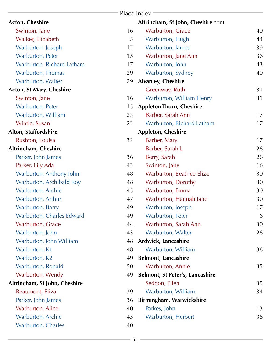<span id="page-51-0"></span>

|                                 |    | Place Index                            |    |
|---------------------------------|----|----------------------------------------|----|
| <b>Acton, Cheshire</b>          |    | Altrincham, St John, Cheshire cont.    |    |
| Swinton, Jane                   | 16 | <b>Warburton, Grace</b>                | 40 |
| Walker, Elizabeth               | 5  | Warburton, Hugh                        | 44 |
| Warburton, Joseph               | 17 | Warburton, James                       | 39 |
| Warburton, Peter                | 15 | Warburton, Jane Ann                    | 36 |
| Warburton, Richard Latham       | 17 | Warburton, John                        | 43 |
| Warburton, Thomas               | 29 | Warburton, Sydney                      | 40 |
| Warburton, Walter               | 29 | <b>Alvanley, Cheshire</b>              |    |
| <b>Acton, St Mary, Cheshire</b> |    | Greenway, Ruth                         | 31 |
| Swinton, Jane                   | 16 | Warburton, William Henry               | 31 |
| Warburton, Peter                | 15 | <b>Appleton Thorn, Cheshire</b>        |    |
| Warburton, William              | 23 | Barber, Sarah Ann                      | 17 |
| Wintle, Susan                   | 23 | Warburton, Richard Latham              | 17 |
| Alton, Staffordshire            |    | <b>Appleton, Cheshire</b>              |    |
| Rushton, Louisa                 | 32 | Barber, Mary                           | 17 |
| Altrincham, Cheshire            |    | Barber, Sarah L                        | 28 |
| Parker, John James              | 36 | Berry, Sarah                           | 26 |
| Parker, Lily Ada                | 43 | Swinton, Jane                          | 16 |
| Warburton, Anthony John         | 48 | Warburton, Beatrice Eliza              | 30 |
| Warburton, Archibald Roy        | 48 | Warburton, Dorothy                     | 30 |
| Warburton, Archie               | 45 | Warburton, Emma                        | 30 |
| Warburton, Arthur               | 47 | Warburton, Hannah Jane                 | 30 |
| Warburton, Barry                | 49 | Warburton, Joseph                      | 17 |
| Warburton, Charles Edward       | 49 | <b>Warburton, Peter</b>                | 6  |
| Warburton, Grace                | 44 | Warburton, Sarah Ann                   | 30 |
| Warburton, John                 | 43 | Warburton, Walter                      | 28 |
| Warburton, John William         | 48 | Ardwick, Lancashire                    |    |
| Warburton, K1                   | 48 | Warburton, William                     | 38 |
| Warburton, K2                   | 49 | <b>Belmont, Lancashire</b>             |    |
| Warburton, Ronald               | 50 | Warburton, Annie                       | 35 |
| Warburton, Wendy                | 49 | <b>Belmont, St Peter's, Lancashire</b> |    |
| Altrincham, St John, Cheshire   |    | Seddon, Ellen                          | 35 |
| Beaumont, Eliza                 | 39 | Warburton, William                     | 34 |
| Parker, John James              | 36 | <b>Birmingham, Warwickshire</b>        |    |
| <b>Warburton, Alice</b>         | 40 | Parkes, John                           | 13 |
| Warburton, Archie               | 45 | Warburton, Herbert                     | 38 |
| Warburton, Charles              | 40 |                                        |    |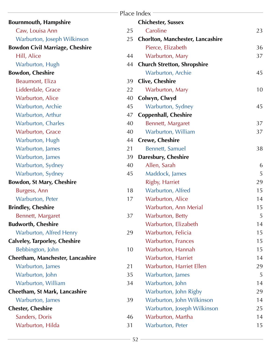|                                        |    | Place Index                             |    |
|----------------------------------------|----|-----------------------------------------|----|
| <b>Bournmouth, Hampshire</b>           |    | <b>Chichester, Sussex</b>               |    |
| Caw, Louisa Ann                        | 25 | Caroline                                | 23 |
| Warburton, Joseph Wilkinson            | 25 | <b>Chorlton, Manchester, Lancashire</b> |    |
| <b>Bowdon Civil Marriage, Cheshire</b> |    | Pierce, Elizabeth                       | 36 |
| Hill, Alice                            | 44 | Warburton, Mary                         | 37 |
| Warburton, Hugh                        | 44 | <b>Church Stretton, Shropshire</b>      |    |
| <b>Bowdon, Cheshire</b>                |    | Warburton, Archie                       | 45 |
| Beaumont, Eliza                        | 39 | <b>Clive, Cheshire</b>                  |    |
| Lidderdale, Grace                      | 22 | Warburton, Mary                         | 10 |
| <b>Warburton, Alice</b>                | 40 | Colwyn, Clwyd                           |    |
| <b>Warburton, Archie</b>               | 45 | Warburton, Sydney                       | 45 |
| Warburton, Arthur                      | 47 | <b>Coppenhall, Cheshire</b>             |    |
| <b>Warburton, Charles</b>              | 40 | Bennett, Margaret                       | 37 |
| <b>Warburton, Grace</b>                | 40 | Warburton, William                      | 37 |
| Warburton, Hugh                        | 44 | <b>Crewe, Cheshire</b>                  |    |
| Warburton, James                       | 21 | <b>Bennett, Samuel</b>                  | 38 |
| Warburton, James                       | 39 | Daresbury, Cheshire                     |    |
| Warburton, Sydney                      | 40 | Allen, Sarah                            | 6  |
| Warburton, Sydney                      | 45 | Maddock, James                          | 5  |
| <b>Bowdon, St Mary, Cheshire</b>       |    | Rigby, Harriet                          | 29 |
| Burgess, Ann                           | 18 | Warburton, Alfred                       | 15 |
| Warburton, Peter                       | 17 | Warburton, Alice                        | 14 |
| <b>Brindley, Cheshire</b>              |    | Warburton, Ann Merial                   | 15 |
| Bennett, Margaret                      | 37 | Warburton, Betty                        | 5  |
| <b>Budworth, Cheshire</b>              |    | Warburton, Elizabeth                    | 14 |
| <b>Warburton, Alfred Henry</b>         | 29 | Warburton, Felicia                      | 15 |
| <b>Calveley, Tarporley, Cheshire</b>   |    | <b>Warburton, Frances</b>               | 15 |
| Bebbington, John                       | 10 | Warburton, Hannah                       | 15 |
| Cheetham, Manchester, Lancashire       |    | Warburton, Harriet                      | 14 |
| Warburton, James                       | 21 | Warburton, Harriet Ellen                | 29 |
| Warburton, John                        | 35 | Warburton, James                        | 5  |
| Warburton, William                     | 34 | Warburton, John                         | 14 |
| Cheetham, St Mark, Lancashire          |    | Warburton, John Rigby                   | 29 |
| Warburton, James                       | 39 | Warburton, John Wilkinson               | 14 |
| <b>Chester, Cheshire</b>               |    | Warburton, Joseph Wilkinson             | 25 |
| Sanders, Doris                         | 46 | Warburton, Martha                       | 14 |
| Warburton, Hilda                       | 31 | Warburton, Peter                        | 15 |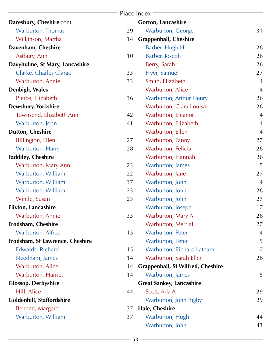|                                 |    | Place Index                              |                |
|---------------------------------|----|------------------------------------------|----------------|
| Daresbury, Cheshire cont.       |    | <b>Gorton, Lancashire</b>                |                |
| <b>Warburton, Thomas</b>        | 29 | <b>Warburton, George</b>                 | 31             |
| Wilkinson, Martha               | 14 | <b>Grappenhall, Cheshire</b>             |                |
| Davenham, Cheshire              |    | Barber, Hugh H                           | 26             |
| Astbury, Ann                    | 10 | Barber, Joseph                           | 26             |
| Davyhulme, St Mary, Lancashire  |    | Berry, Sarah                             | 26             |
| Clarke, Charles Clargo          | 33 | Fryer, Samuel                            | 27             |
| Warburton, Annie                | 33 | Smith, Elizabeth                         | $\overline{4}$ |
| Denbigh, Wales                  |    | Warburton, Alice                         | $\overline{4}$ |
| Pierce, Elizabeth               | 36 | Warburton, Arthur Henry                  | 26             |
| Dewsbury, Yorkshire             |    | Warburton, Clara Louisa                  | 26             |
| Townsend, Elizabeth Ann         | 42 | Warburton, Eleanor                       | $\overline{4}$ |
| Warburton, John                 | 41 | Warburton, Elizabeth                     | $\overline{4}$ |
| <b>Dutton, Cheshire</b>         |    | Warburton, Ellen                         | $\overline{4}$ |
| Billington, Ellen               | 27 | Warburton, Fanny                         | 27             |
| Warburton, Harry                | 28 | Warburton, Felicia                       | 26             |
| <b>Faddiley, Cheshire</b>       |    | Warburton, Hannah                        | 26             |
| <b>Warburton, Mary Ann</b>      | 23 | Warburton, James                         | 5              |
| Warburton, William              | 22 | Warburton, Jane                          | 27             |
| Warburton, William              | 37 | Warburton, John                          | $\overline{4}$ |
| Warburton, William              | 23 | Warburton, John                          | 26             |
| Wintle, Susan                   | 23 | Warburton, John                          | 27             |
| <b>Flixton, Lancashire</b>      |    | Warburton, Joseph                        | 17             |
| <b>Warburton, Annie</b>         | 33 | Warburton, Mary A                        | 26             |
| Frodsham, Cheshire              |    | <b>Warburton, Merrial</b>                | 27             |
| Warburton, Alfred               | 15 | Warburton, Peter                         | $\overline{A}$ |
| Frodsham, St Lawrence, Cheshire |    | Warburton, Peter                         | 5              |
| Edwards, Richard                | 15 | Warburton, Richard Latham                | 17             |
| Needham, James                  | 14 | Warburton, Sarah Ellen                   | 26             |
| <b>Warburton, Alice</b>         | 14 | <b>Grappenhall, St Wilfred, Cheshire</b> |                |
| <b>Warburton, Harriet</b>       | 14 | Warburton, James                         | 5              |
| <b>Glossop, Derbyshire</b>      |    | <b>Great Sankey, Lancashire</b>          |                |
| Hill, Alice                     | 44 | Scott, Ada A                             | 29             |
| Goldenhill, Staffordshire       |    | Warburton, John Rigby                    | 29             |
| Bennett, Margaret               | 37 | Hale, Cheshire                           |                |
| Warburton, William              | 37 | Warburton, Hugh                          | 44             |
|                                 |    | Warburton, John                          | 43             |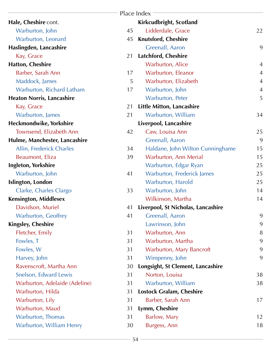|                                  |    | Place Index                        |                |
|----------------------------------|----|------------------------------------|----------------|
| Hale, Cheshire cont.             |    | Kirkcudbright, Scotland            |                |
| Warburton, John                  | 45 | Lidderdale, Grace                  | 22             |
| Warburton, Leonard               | 45 | <b>Knutsford, Cheshire</b>         |                |
| Haslingden, Lancashire           |    | Greenall, Aaron                    | 9              |
| Kay, Grace                       | 21 | Latchford, Cheshire                |                |
| <b>Hatton, Cheshire</b>          |    | <b>Warburton, Alice</b>            | $\overline{4}$ |
| Barber, Sarah Ann                | 17 | Warburton, Eleanor                 | $\overline{4}$ |
| Maddock, James                   | 5  | Warburton, Elizabeth               | $\overline{4}$ |
| Warburton, Richard Latham        | 17 | Warburton, John                    | $\overline{4}$ |
| <b>Heaton Norris, Lancashire</b> |    | Warburton, Peter                   | 5              |
| Kay, Grace                       | 21 | <b>Little Mitton, Lancashire</b>   |                |
| Warburton, James                 | 21 | Warburton, William                 | 34             |
| Heckmondwike, Yorkshire          |    | Liverpool, Lancashire              |                |
| Townsend, Elizabeth Ann          | 42 | Caw, Louisa Ann                    | 25             |
| Hulme, Manchester, Lancashire    |    | Greenall, Aaron                    | 9              |
| Allin, Frederick Charles         | 34 | Haldane, John Wilton Cunninghame   | 15             |
| Beaumont, Eliza                  | 39 | Warburton, Ann Merial              | 15             |
| <b>Ingleton, Yorkshire</b>       |    | Warburton, Edgar Ryan              | 25             |
| Warburton, John                  | 41 | <b>Warburton, Frederick James</b>  | 25             |
| Islington, London                |    | Warburton, Harold                  | 25             |
| Clarke, Charles Clargo           | 33 | Warburton, John                    | 14             |
| Kensington, Middlesex            |    | Wilkinson, Martha                  | 14             |
| Davidson, Muriel                 | 41 | Liverpool, St Nicholas, Lancashire |                |
| <b>Warburton, Geoffrey</b>       | 41 | Greenall, Aaron                    | 9              |
| <b>Kingsley, Cheshire</b>        |    | Lawrinson, John                    | 9              |
| Fletcher, Emily                  | 31 | Warburton, Ann                     | 8              |
| Fowles, T                        | 31 | Warburton, Martha                  | 9              |
| Fowles, W                        | 31 | Warburton, Mary Bancroft           | 9              |
| Harvey, John                     | 31 | Wimpenny, John                     | 9              |
| Ravenscroft, Martha Ann          | 30 | Longsight, St Clement, Lancashire  |                |
| Snelson, Edward Lewis            | 31 | Norton, Louisa                     | 38             |
| Warburton, Adelaide (Adeline)    | 31 | Warburton, William                 | 38             |
| Warburton, Hilda                 | 31 | <b>Lostock Gralam, Cheshire</b>    |                |
| Warburton, Lily                  | 31 | Barber, Sarah Ann                  | 17             |
| Warburton, Maud                  | 31 | Lymm, Cheshire                     |                |
| Warburton, Thomas                | 31 | Barlow, Mary                       | 12             |
| Warburton, William Henry         | 30 | Burgess, Ann                       | 18             |
|                                  |    |                                    |                |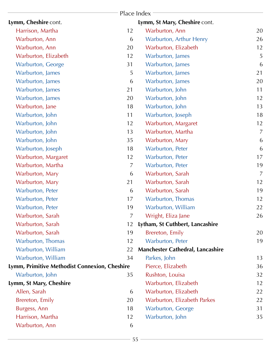|                                               |                | Place Index                             |                |
|-----------------------------------------------|----------------|-----------------------------------------|----------------|
| Lymm, Cheshire cont.                          |                | Lymm, St Mary, Cheshire cont.           |                |
| Harrison, Martha                              | 12             | Warburton, Ann                          | 20             |
| Warburton, Ann                                | 6              | Warburton, Arthur Henry                 | 26             |
| Warburton, Ann                                | 20             | Warburton, Elizabeth                    | 12             |
| Warburton, Elizabeth                          | 12             | Warburton, James                        | 5              |
| <b>Warburton, George</b>                      | 31             | Warburton, James                        | 6              |
| Warburton, James                              | 5              | Warburton, James                        | 21             |
| Warburton, James                              | 6              | Warburton, James                        | 20             |
| Warburton, James                              | 21             | Warburton, John                         | 11             |
| Warburton, James                              | 20             | Warburton, John                         | 12             |
| Warburton, Jane                               | 18             | Warburton, John                         | 13             |
| Warburton, John                               | 11             | Warburton, Joseph                       | 18             |
| Warburton, John                               | 12             | Warburton, Margaret                     | 12             |
| Warburton, John                               | 13             | Warburton, Martha                       | $\overline{7}$ |
| Warburton, John                               | 35             | Warburton, Mary                         | 6              |
| Warburton, Joseph                             | 18             | Warburton, Peter                        | 6              |
| Warburton, Margaret                           | 12             | Warburton, Peter                        | 17             |
| Warburton, Martha                             | $\overline{7}$ | Warburton, Peter                        | 19             |
| Warburton, Mary                               | 6              | Warburton, Sarah                        | 7              |
| Warburton, Mary                               | 21             | Warburton, Sarah                        | 12             |
| Warburton, Peter                              | 6              | Warburton, Sarah                        | 19             |
| Warburton, Peter                              | 17             | Warburton, Thomas                       | 12             |
| Warburton, Peter                              | 19             | Warburton, William                      | 22             |
| Warburton, Sarah                              | 7              | Wright, Eliza Jane                      | 26             |
| Warburton, Sarah                              | 12             | Lytham, St Cuthbert, Lancashire         |                |
| Warburton, Sarah                              | 19             | Brereton, Emily                         | 20             |
| Warburton, Thomas                             | 12             | Warburton, Peter                        | 19             |
| Warburton, William                            | 22             | <b>Manchester Cathedral, Lancashire</b> |                |
| Warburton, William                            | 34             | Parkes, John                            | 13             |
| Lymm, Primitive Methodist Connexion, Cheshire |                | Pierce, Elizabeth                       | 36             |
| Warburton, John                               | 35             | Rushton, Louisa                         | 32             |
| Lymm, St Mary, Cheshire                       |                | Warburton, Elizabeth                    | 12             |
| Allen, Sarah                                  | 6              | Warburton, Elizabeth                    | 22             |
| Brereton, Emily                               | 20             | Warburton, Elizabeth Parkes             | 22             |
| Burgess, Ann                                  | 18             | <b>Warburton, George</b>                | 31             |
| Harrison, Martha                              | 12             | Warburton, John                         | 35             |
| Warburton, Ann                                | 6              |                                         |                |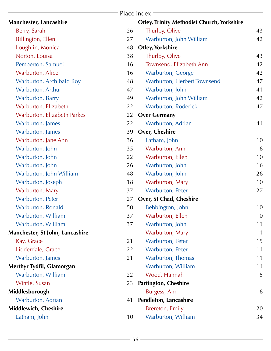|                                 |    | Place Index                                       |    |
|---------------------------------|----|---------------------------------------------------|----|
| Manchester, Lancashire          |    | <b>Otley, Trinity Methodist Church, Yorkshire</b> |    |
| Berry, Sarah                    | 26 | Thurlby, Olive                                    | 43 |
| <b>Billington, Ellen</b>        | 27 | Warburton, John William                           | 42 |
| Loughlin, Monica                | 48 | <b>Otley, Yorkshire</b>                           |    |
| Norton, Louisa                  | 38 | Thurlby, Olive                                    | 43 |
| Pemberton, Samuel               | 16 | Townsend, Elizabeth Ann                           | 42 |
| <b>Warburton, Alice</b>         | 16 | Warburton, George                                 | 42 |
| Warburton, Archibald Roy        | 48 | Warburton, Herbert Townsend                       | 47 |
| Warburton, Arthur               | 47 | Warburton, John                                   | 41 |
| Warburton, Barry                | 49 | Warburton, John William                           | 42 |
| Warburton, Elizabeth            | 22 | <b>Warburton, Roderick</b>                        | 47 |
| Warburton, Elizabeth Parkes     | 22 | <b>Over Germany</b>                               |    |
| Warburton, James                | 22 | Warburton, Adrian                                 | 41 |
| Warburton, James                | 39 | <b>Over, Cheshire</b>                             |    |
| Warburton, Jane Ann             | 36 | Latham, John                                      | 10 |
| Warburton, John                 | 35 | Warburton, Ann                                    | 8  |
| Warburton, John                 | 22 | Warburton, Ellen                                  | 10 |
| Warburton, John                 | 26 | Warburton, John                                   | 16 |
| Warburton, John William         | 48 | Warburton, John                                   | 26 |
| Warburton, Joseph               | 18 | Warburton, Mary                                   | 10 |
| Warburton, Mary                 | 37 | Warburton, Peter                                  | 27 |
| Warburton, Peter                | 27 | Over, St Chad, Cheshire                           |    |
| Warburton, Ronald               | 50 | Bebbington, John                                  | 10 |
| Warburton, William              | 37 | Warburton, Ellen                                  | 10 |
| Warburton, William              | 37 | Warburton, John                                   | 11 |
| Manchester, St John, Lancashire |    | Warburton, Mary                                   | 11 |
| Kay, Grace                      | 21 | Warburton, Peter                                  | 15 |
| Lidderdale, Grace               | 22 | Warburton, Peter                                  | 11 |
| Warburton, James                | 21 | <b>Warburton, Thomas</b>                          | 11 |
| Merthyr Tydfil, Glamorgan       |    | Warburton, William                                | 11 |
| Warburton, William              | 22 | Wood, Hannah                                      | 15 |
| Wintle, Susan                   | 23 | <b>Partington, Cheshire</b>                       |    |
| Middlesborough                  |    | Burgess, Ann                                      | 18 |
| Warburton, Adrian               | 41 | Pendleton, Lancashire                             |    |
| Middlewich, Cheshire            |    | Brereton, Emily                                   | 20 |
| Latham, John                    | 10 | Warburton, William                                | 34 |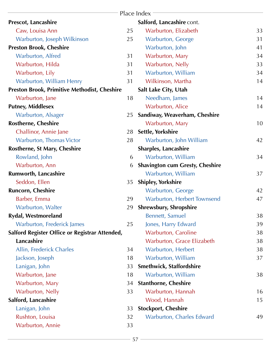|                                                |    | Place Index                            |    |
|------------------------------------------------|----|----------------------------------------|----|
| <b>Prescot, Lancashire</b>                     |    | Salford, Lancashire cont.              |    |
| Caw, Louisa Ann                                | 25 | Warburton, Elizabeth                   | 33 |
| Warburton, Joseph Wilkinson                    | 25 | <b>Warburton, George</b>               | 31 |
| <b>Preston Brook, Cheshire</b>                 |    | Warburton, John                        | 41 |
| Warburton, Alfred                              | 31 | Warburton, Mary                        | 34 |
| Warburton, Hilda                               | 31 | Warburton, Nelly                       | 33 |
| Warburton, Lily                                | 31 | Warburton, William                     | 34 |
| Warburton, William Henry                       | 31 | Wilkinson, Martha                      | 14 |
| Preston Brook, Primitive Methodist, Cheshire   |    | Salt Lake City, Utah                   |    |
| Warburton, Jane                                | 18 | Needham, James                         | 14 |
| <b>Putney, Middlesex</b>                       |    | <b>Warburton, Alice</b>                | 14 |
| Warburton, Alsager                             | 25 | Sandiway, Weaverham, Cheshire          |    |
| <b>Rostherne, Cheshire</b>                     |    | Warburton, Mary                        | 10 |
| Challinor, Annie Jane                          | 28 | Settle, Yorkshire                      |    |
| Warburton, Thomas Victor                       | 28 | Warburton, John William                | 42 |
| Rostherne, St Mary, Cheshire                   |    | <b>Sharples, Lancashire</b>            |    |
| Rowland, John                                  | 6  | Warburton, William                     | 34 |
| Warburton, Ann                                 | 6  | <b>Shavington cum Gresty, Cheshire</b> |    |
| <b>Rumworth, Lancashire</b>                    |    | Warburton, William                     | 37 |
| Seddon, Ellen                                  | 35 | <b>Shipley, Yorkshire</b>              |    |
| <b>Runcorn, Cheshire</b>                       |    | Warburton, George                      | 42 |
| Barber, Emma                                   | 29 | Warburton, Herbert Townsend            | 47 |
| <b>Warburton, Walter</b>                       | 29 | <b>Shrewsbury, Shropshire</b>          |    |
| <b>Rydal, Westmoreland</b>                     |    | <b>Bennett, Samuel</b>                 | 38 |
| Warburton, Frederick James                     | 25 | Jones, Harry Edward                    | 39 |
| Salford Register Office or Registrar Attended, |    | <b>Warburton, Caroline</b>             | 38 |
| Lancashire                                     |    | Warburton, Grace Elizabeth             | 38 |
| Allin, Frederick Charles                       | 34 | Warburton, Herbert                     | 38 |
| Jackson, Joseph                                | 18 | Warburton, William                     | 37 |
| Lanigan, John                                  | 33 | <b>Smethwick, Staffordshire</b>        |    |
| Warburton, Jane                                | 18 | Warburton, William                     | 38 |
| Warburton, Mary                                | 34 | <b>Stanthorne, Cheshire</b>            |    |
| Warburton, Nelly                               | 33 | Warburton, Hannah                      | 16 |
| Salford, Lancashire                            |    | Wood, Hannah                           | 15 |
| Lanigan, John                                  | 33 | <b>Stockport, Cheshire</b>             |    |
| Rushton, Louisa                                | 32 | Warburton, Charles Edward              | 49 |
| Warburton, Annie                               | 33 |                                        |    |
|                                                |    |                                        |    |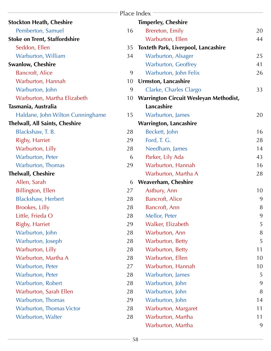|                                      |    | Place Index                                   |    |
|--------------------------------------|----|-----------------------------------------------|----|
| <b>Stockton Heath, Cheshire</b>      |    | <b>Timperley, Cheshire</b>                    |    |
| Pemberton, Samuel                    | 16 | Brereton, Emily                               | 20 |
| <b>Stoke on Trent, Staffordshire</b> |    | Warburton, Ellen                              | 44 |
| Seddon, Ellen                        | 35 | <b>Toxteth Park, Liverpool, Lancashire</b>    |    |
| Warburton, William                   | 34 | Warburton, Alsager                            | 25 |
| <b>Swanlow, Cheshire</b>             |    | Warburton, Geoffrey                           | 41 |
| <b>Bancroft, Alice</b>               | 9  | Warburton, John Felix                         | 26 |
| Warburton, Hannah                    | 10 | Urmston, Lancashire                           |    |
| Warburton, John                      | 9  | Clarke, Charles Clargo                        | 33 |
| Warburton, Martha Elizabeth          | 10 | <b>Warrington Circuit Wesleyan Methodist,</b> |    |
| Tasmania, Australia                  |    | Lancashire                                    |    |
| Haldane, John Wilton Cunninghame     | 15 | Warburton, James                              | 20 |
| Thelwall, All Saints, Cheshire       |    | <b>Warrington, Lancashire</b>                 |    |
| Blackshaw, T. B.                     | 28 | Beckett, John                                 | 16 |
| Rigby, Harriet                       | 29 | Ford, T. G.                                   | 28 |
| Warburton, Lilly                     | 28 | Needham, James                                | 14 |
| Warburton, Peter                     | 6  | Parker, Lily Ada                              | 43 |
| Warburton, Thomas                    | 29 | Warburton, Hannah                             | 16 |
| <b>Thelwall, Cheshire</b>            |    | Warburton, Martha A                           | 28 |
| Allen, Sarah                         | 6  | <b>Weaverham, Cheshire</b>                    |    |
| Billington, Ellen                    | 27 | Astbury, Ann                                  | 10 |
| <b>Blackshaw, Herbert</b>            | 28 | <b>Bancroft, Alice</b>                        | 9  |
| Brookes, Lilly                       | 28 | Bancroft, Ann                                 | 8  |
| Little, Frieda O                     | 28 | Mellor, Peter                                 | 9  |
| Rigby, Harriet                       | 29 | Walker, Elizabeth                             | 5  |
| Warburton, John                      | 28 | Warburton, Ann                                | 8  |
| Warburton, Joseph                    | 28 | Warburton, Betty                              | 5  |
| Warburton, Lilly                     | 28 | Warburton, Betty                              | 11 |
| Warburton, Martha A                  | 28 | Warburton, Ellen                              | 10 |
| Warburton, Peter                     | 27 | Warburton, Hannah                             | 10 |
| Warburton, Peter                     | 28 | Warburton, James                              | 5  |
| Warburton, Robert                    | 28 | Warburton, John                               | 9  |
| Warburton, Sarah Ellen               | 28 | Warburton, John                               | 8  |
| Warburton, Thomas                    | 29 | Warburton, John                               | 14 |
| Warburton, Thomas Victor             | 28 | Warburton, Margaret                           | 11 |
| Warburton, Walter                    | 28 | Warburton, Martha                             | 11 |
|                                      |    | Warburton, Martha                             | 9  |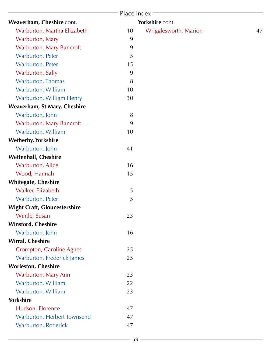|                                     | Place Index |                       |    |
|-------------------------------------|-------------|-----------------------|----|
| Weaverham, Cheshire cont.           |             | Yorkshire cont.       |    |
| Warburton, Martha Elizabeth         | 10          | Wrigglesworth, Marion | 47 |
| Warburton, Mary                     | 9           |                       |    |
| Warburton, Mary Bancroft            | 9           |                       |    |
| Warburton, Peter                    | 5           |                       |    |
| Warburton, Peter                    | 15          |                       |    |
| Warburton, Sally                    | 9           |                       |    |
| Warburton, Thomas                   | 8           |                       |    |
| Warburton, William                  | 10          |                       |    |
| Warburton, William Henry            | 30          |                       |    |
| Weaverham, St Mary, Cheshire        |             |                       |    |
| Warburton, John                     | 8           |                       |    |
| Warburton, Mary Bancroft            | 9           |                       |    |
| Warburton, William                  | 10          |                       |    |
| <b>Wetherby, Yorkshire</b>          |             |                       |    |
| Warburton, John                     | 41          |                       |    |
| <b>Wettenhall, Cheshire</b>         |             |                       |    |
| <b>Warburton, Alice</b>             | 16          |                       |    |
| Wood, Hannah                        | 15          |                       |    |
| <b>Whitegate, Cheshire</b>          |             |                       |    |
| Walker, Elizabeth                   | 5           |                       |    |
| Warburton, Peter                    | 5           |                       |    |
| <b>Wight Craft, Gloucestershire</b> |             |                       |    |
| Wintle, Susan                       | 23          |                       |    |
| <b>Winsford, Cheshire</b>           |             |                       |    |
| Warburton, John                     | 16          |                       |    |
| <b>Wirral, Cheshire</b>             |             |                       |    |
| <b>Crompton, Caroline Agnes</b>     | 25          |                       |    |
| Warburton, Frederick James          | 25          |                       |    |
| <b>Worleston, Cheshire</b>          |             |                       |    |
| Warburton, Mary Ann                 | 23          |                       |    |
| Warburton, William                  | 22          |                       |    |
| Warburton, William                  | 23          |                       |    |
| <b>Yorkshire</b>                    |             |                       |    |
| Hudson, Florence                    | 47          |                       |    |
| Warburton, Herbert Townsend         | 47          |                       |    |
| Warburton, Roderick                 | 47          |                       |    |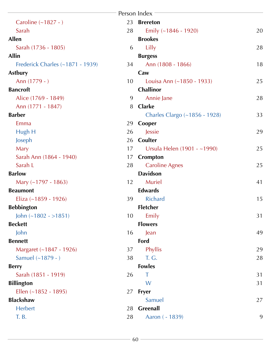<span id="page-60-30"></span><span id="page-60-29"></span><span id="page-60-28"></span><span id="page-60-27"></span><span id="page-60-26"></span><span id="page-60-25"></span><span id="page-60-24"></span><span id="page-60-23"></span><span id="page-60-22"></span><span id="page-60-21"></span><span id="page-60-20"></span><span id="page-60-19"></span><span id="page-60-18"></span><span id="page-60-17"></span><span id="page-60-16"></span><span id="page-60-15"></span><span id="page-60-14"></span><span id="page-60-13"></span><span id="page-60-12"></span><span id="page-60-11"></span><span id="page-60-10"></span><span id="page-60-9"></span><span id="page-60-8"></span><span id="page-60-7"></span><span id="page-60-6"></span><span id="page-60-5"></span><span id="page-60-4"></span><span id="page-60-3"></span><span id="page-60-2"></span><span id="page-60-1"></span><span id="page-60-0"></span>

|                                  |    | Person Index                  |    |
|----------------------------------|----|-------------------------------|----|
| Caroline (~1827 - )              | 23 | <b>Brereton</b>               |    |
| Sarah                            | 28 | Emily (~1846 - 1920)          | 20 |
| <b>Allen</b>                     |    | <b>Brookes</b>                |    |
| Sarah (1736 - 1805)              | 6  | Lilly                         | 28 |
| <b>Allin</b>                     |    | <b>Burgess</b>                |    |
| Frederick Charles (~1871 - 1939) | 34 | Ann (1808 - 1866)             | 18 |
| <b>Astbury</b>                   |    | Caw                           |    |
| Ann (1779 - )                    | 10 | Louisa Ann (~1850 - 1933)     | 25 |
| <b>Bancroft</b>                  |    | Challinor                     |    |
| Alice (1769 - 1849)              | 9  | Annie Jane                    | 28 |
| Ann (1771 - 1847)                | 8  | <b>Clarke</b>                 |    |
| <b>Barber</b>                    |    | Charles Clargo (~1856 - 1928) | 33 |
| Emma                             | 29 | Cooper                        |    |
| Hugh H                           | 26 | Jessie                        | 29 |
| Joseph                           | 26 | Coulter                       |    |
| Mary                             | 17 | Ursula Helen (1901 - ~1990)   | 25 |
| Sarah Ann (1864 - 1940)          | 17 | Crompton                      |    |
| Sarah L                          | 28 | <b>Caroline Agnes</b>         | 25 |
| <b>Barlow</b>                    |    | <b>Davidson</b>               |    |
| Mary $(-1797 - 1863)$            | 12 | Muriel                        | 41 |
| <b>Beaumont</b>                  |    | <b>Edwards</b>                |    |
| Eliza (~1859 - 1926)             | 39 | <b>Richard</b>                | 15 |
| <b>Bebbington</b>                |    | <b>Fletcher</b>               |    |
| John $(-1802 - 1851)$            | 10 | Emily                         | 31 |
| <b>Beckett</b>                   |    | <b>Flowers</b>                |    |
| John                             | 16 | Jean                          | 49 |
| <b>Bennett</b>                   |    | Ford                          |    |
| Margaret (~1847 - 1926)          | 37 | Phyllis                       | 29 |
| Samuel (~1879 - )                | 38 | T. G.                         | 28 |
| <b>Berry</b>                     |    | <b>Fowles</b>                 |    |
| Sarah (1851 - 1919)              | 26 | Τ                             | 31 |
| <b>Billington</b>                |    | W                             | 31 |
| Ellen $(-1852 - 1895)$           | 27 | <b>Fryer</b>                  |    |
| <b>Blackshaw</b>                 |    | Samuel                        | 27 |
| Herbert                          | 28 | Greenall                      |    |
| T. B.                            | 28 | Aaron ( - 1839)               | 9  |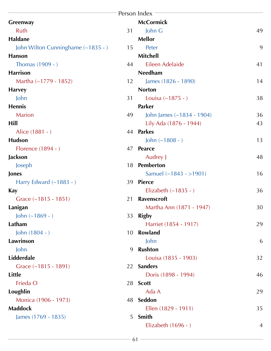<span id="page-61-26"></span><span id="page-61-25"></span><span id="page-61-24"></span><span id="page-61-23"></span><span id="page-61-22"></span><span id="page-61-21"></span><span id="page-61-20"></span><span id="page-61-19"></span><span id="page-61-18"></span><span id="page-61-12"></span><span id="page-61-11"></span><span id="page-61-10"></span><span id="page-61-9"></span><span id="page-61-8"></span><span id="page-61-7"></span><span id="page-61-6"></span><span id="page-61-5"></span><span id="page-61-4"></span><span id="page-61-3"></span><span id="page-61-2"></span><span id="page-61-1"></span><span id="page-61-0"></span>

|                                    |    | Person Index                |    |
|------------------------------------|----|-----------------------------|----|
| Greenway                           |    | <b>McCormick</b>            |    |
| Ruth                               | 31 | John G                      | 49 |
| Haldane                            |    | <b>Mellor</b>               |    |
| John Wilton Cunninghame (~1835 - ) | 15 | Peter                       | 9  |
| <b>Hanson</b>                      |    | <b>Mitchell</b>             |    |
| Thomas $(1909 - )$                 | 44 | Eileen Adelaide             | 41 |
| <b>Harrison</b>                    |    | <b>Needham</b>              |    |
| Martha $(-1779 - 1852)$            | 12 | James (1826 - 1890)         | 14 |
| <b>Harvey</b>                      |    | <b>Norton</b>               |    |
| John                               | 31 | Louisa $(-1875 - )$         | 38 |
| <b>Hennis</b>                      |    | <b>Parker</b>               |    |
| <b>Marion</b>                      | 49 | John James $(-1834 - 1904)$ | 36 |
| Hill                               |    | Lily Ada (1876 - 1944)      | 43 |
| Alice (1881 - )                    |    | 44 Parkes                   |    |
| <b>Hudson</b>                      |    | John $(-1808 - )$           | 13 |
| Florence (1894 - )                 | 47 | <b>Pearce</b>               |    |
| Jackson                            |    | Audrey J                    | 48 |
| Joseph                             | 18 | <b>Pemberton</b>            |    |
| Jones                              |    | Samuel $(-1843 - 1901)$     | 16 |
| Harry Edward $(-1883 - )$          | 39 | <b>Pierce</b>               |    |
| Kay                                |    | Elizabeth $(-1835 - )$      | 36 |
| Grace $(-1815 - 1851)$             | 21 | <b>Ravenscroft</b>          |    |
| Lanigan                            |    | Martha Ann (1871 - 1947)    | 30 |
| John $(-1869 - )$                  |    | 33 Rigby                    |    |
| Latham                             |    | Harriet (1854 - 1917)       | 29 |
| John $(1804 - )$                   | 10 | Rowland                     |    |
| Lawrinson                          |    | John                        | 6  |
| John                               | 9  | <b>Rushton</b>              |    |
| Lidderdale                         |    | Louisa (1835 - 1903)        | 32 |
| Grace $(-1815 - 1891)$             |    | 22 Sanders                  |    |
| <b>Little</b>                      |    | Doris (1898 - 1994)         | 46 |
| Frieda O                           |    | 28 Scott                    |    |
| Loughlin                           |    | Ada A                       | 29 |
| Monica (1906 - 1973)               |    | 48 Seddon                   |    |
| <b>Maddock</b>                     |    | Ellen (1829 - 1911)         | 35 |
| James (1769 - 1835)                |    | 5 Smith                     |    |
|                                    |    | Elizabeth $(1696 - )$       | 4  |

<span id="page-61-35"></span><span id="page-61-34"></span><span id="page-61-33"></span><span id="page-61-32"></span><span id="page-61-31"></span><span id="page-61-30"></span><span id="page-61-29"></span><span id="page-61-28"></span><span id="page-61-27"></span><span id="page-61-17"></span><span id="page-61-16"></span><span id="page-61-15"></span><span id="page-61-14"></span><span id="page-61-13"></span>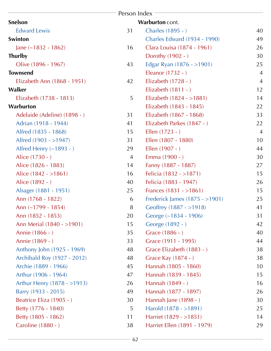<span id="page-62-5"></span><span id="page-62-4"></span><span id="page-62-3"></span><span id="page-62-2"></span><span id="page-62-1"></span><span id="page-62-0"></span>

| Person Index                 |                |                                     |                |  |  |  |  |
|------------------------------|----------------|-------------------------------------|----------------|--|--|--|--|
| Snelson                      |                | Warburton cont.                     |                |  |  |  |  |
| <b>Edward Lewis</b>          | 31             | Charles (1895 - )                   | 40             |  |  |  |  |
| Swinton                      |                | <b>Charles Edward (1934 - 1990)</b> | 49             |  |  |  |  |
| Jane $(-1832 - 1862)$        | 16             | Clara Louisa (1874 - 1961)          | 26             |  |  |  |  |
| <b>Thurlby</b>               |                | Dorothy (1902 - )                   | 30             |  |  |  |  |
| Olive (1896 - 1967)          | 43             | Edgar Ryan (1876 - >1901)           | 25             |  |  |  |  |
| <b>Townsend</b>              |                | Eleanor (1732 - )                   | $\overline{4}$ |  |  |  |  |
| Elizabeth Ann (1868 - 1951)  | 42             | Elizabeth $(1728 - )$               | $\overline{4}$ |  |  |  |  |
| Walker                       |                | Elizabeth $(1811 - )$               | 12             |  |  |  |  |
| Elizabeth (1738 - 1813)      | 5              | Elizabeth $(1824 - 1881)$           | 14             |  |  |  |  |
| Warburton                    |                | Elizabeth (1843 - 1845)             | 22             |  |  |  |  |
| Adelaide (Adeline) (1898 - ) | 31             | Elizabeth (1867 - 1868)             | 33             |  |  |  |  |
| Adrian (1918 - 1944)         | 41             | Elizabeth Parkes (1847 - )          | 22             |  |  |  |  |
| Alfred (1835 - 1868)         | 15             | Ellen $(1723 - )$                   | $\overline{4}$ |  |  |  |  |
| Alfred (1903 - >1947)        | 31             | Ellen (1807 - 1880)                 | 10             |  |  |  |  |
| Alfred Henry $(-1893 - )$    | 29             | Ellen (1907 - )                     | 44             |  |  |  |  |
| Alice (1730 - )              | $\overline{4}$ | Emma (1900 - )                      | 30             |  |  |  |  |
| Alice (1826 - 1883)          | 14             | Fanny (1887 - 1887)                 | 27             |  |  |  |  |
| Alice $(1842 - 1861)$        | 16             | Felicia (1832 - >1871)              | 15             |  |  |  |  |
| Alice (1892 - )              | 40             | Felicia (1883 - 1947)               | 26             |  |  |  |  |
| Alsager (1881 - 1951)        | 25             | Frances $(1831 - 1861)$             | 15             |  |  |  |  |
| Ann (1768 - 1822)            | 6              | Frederick James (1875 - > 1901)     | 25             |  |  |  |  |
| Ann (~1799 - 1854)           | 8              | Geoffrey (1887 - >1918)             | 41             |  |  |  |  |
| Ann (1852 - 1853)            | 20             | George (~1834 - 1906)               | 31             |  |  |  |  |
| Ann Merial (1840 - >1901)    | 15             | George (1892 - )                    | 42             |  |  |  |  |
| Annie (1866 - )              | 35             | Grace (1886 - )                     | 40             |  |  |  |  |
| Annie (1869 - )              | 33             | Grace (1911 - 1995)                 | 44             |  |  |  |  |
| Anthony John (1925 - 1969)   | 48             | Grace Elizabeth (1883 - )           | 38             |  |  |  |  |
| Archibald Roy (1927 - 2012)  | 48             | Grace Kay (1874 - )                 | 38             |  |  |  |  |
| Archie (1889 - 1966)         | 45             | Hannah (1805 - 1860)                | 10             |  |  |  |  |
| Arthur (1906 - 1964)         | 47             | Hannah (1839 - 1845)                | 15             |  |  |  |  |
| Arthur Henry (1878 - >1913)  | 26             | Hannah (1849 - )                    | 16             |  |  |  |  |
| Barry (1933 - 2015)          | 49             | Hannah (1877 - 1897)                | 26             |  |  |  |  |
| Beatrice Eliza (1905 - )     | 30             | Hannah Jane (1898 - )               | 30             |  |  |  |  |
| Betty (1776 - 1840)          | 5              | Harold (1878 - >1891)               | 25             |  |  |  |  |
| Betty (1805 - 1862)          | 11             | Harriet (1829 - > 1851)             | 14             |  |  |  |  |
| Caroline (1880 - )           | 38             | Harriet Ellen (1891 - 1979)         | 29             |  |  |  |  |
|                              |                |                                     |                |  |  |  |  |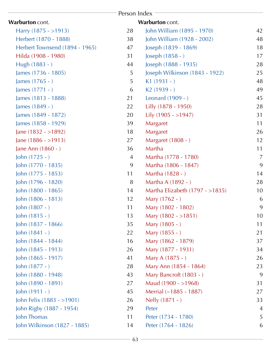| Person Index                   |                |                                  |                |  |  |  |  |
|--------------------------------|----------------|----------------------------------|----------------|--|--|--|--|
| Warburton cont.                |                | Warburton cont.                  |                |  |  |  |  |
| Harry $(1875 - 1913)$          | 28             | John William (1895 - 1970)       | 42             |  |  |  |  |
| Herbert (1870 - 1888)          | 38             | John William (1928 - 2002)       | 48             |  |  |  |  |
| Herbert Townsend (1894 - 1965) | 47             | Joseph (1839 - 1869)             | 18             |  |  |  |  |
| Hilda (1908 - 1980)            | 31             | Joseph (1858 - )                 | 17             |  |  |  |  |
| Hugh (1883 - )                 | 44             | Joseph (1888 - 1935)             | 28             |  |  |  |  |
| James (1736 - 1805)            | 5              | Joseph Wilkinson (1843 - 1922)   | 25             |  |  |  |  |
| James $(1765 - )$              | 5              | $K1(1931 - )$                    | 48             |  |  |  |  |
| James (1771 - )                | 6              | $K2(1939 - )$                    | 49             |  |  |  |  |
| James (1813 - 1888)            | 21             | Leonard (1909 - )                | 45             |  |  |  |  |
| James (1849 - )                | 22             | Lilly (1878 - 1950)              | 28             |  |  |  |  |
| James (1849 - 1872)            | 20             | Lily (1905 - >1947)              | 31             |  |  |  |  |
| James (1858 - 1929)            | 39             | Margaret                         | 11             |  |  |  |  |
| Jane $(1832 - 1892)$           | 18             | Margaret                         | 26             |  |  |  |  |
| Jane $(1886 - >1913)$          | 27             | Margaret (1808 - )               | 12             |  |  |  |  |
| Jane Ann (1860 - )             | 36             | Martha                           | 11             |  |  |  |  |
| John $(1725 - )$               | $\overline{4}$ | Martha (1778 - 1780)             | $\overline{7}$ |  |  |  |  |
| John (1770 - 1835)             | 9              | Martha (1806 - 1847)             | 9              |  |  |  |  |
| John (1775 - 1853)             | 11             | Martha (1828 - )                 | 14             |  |  |  |  |
| John (1796 - 1820)             | 8              | Martha A (1892 - )               | 28             |  |  |  |  |
| John (1800 - 1865)             | 14             | Martha Elizabeth (1797 - > 1835) | 10             |  |  |  |  |
| John (1806 - 1813)             | 12             | Mary (1762 - )                   | 6              |  |  |  |  |
| John (1807 - )                 | 11             | Mary (1802 - 1802)               | 9              |  |  |  |  |
| John $(1815 - )$               | 13             | Mary $(1802 - 1851)$             | 10             |  |  |  |  |
| John (1837 - 1866)             | 35             | Mary (1805 - )                   | 11             |  |  |  |  |
| John $(1841 - )$               | 22             | Mary (1855 - )                   | 21             |  |  |  |  |
| John (1844 - 1844)             | 16             | Mary (1862 - 1879)               | 37             |  |  |  |  |
| John (1845 - 1913)             | 26             | Mary (1877 - 1931)               | 34             |  |  |  |  |
| John (1865 - 1917)             | 41             | Mary A (1875 - )                 | 26             |  |  |  |  |
| John (1877 - )                 | 28             | Mary Ann (1854 - 1864)           | 23             |  |  |  |  |
| John (1880 - 1948)             | 43             | Mary Bancroft (1803 - )          | 9              |  |  |  |  |
| John (1890 - 1891)             | 27             | Maud $(1900 - 1968)$             | 31             |  |  |  |  |
| John (1911 - )                 | 45             | Merrial (~1885 - 1887)           | 27             |  |  |  |  |
| John Felix (1883 - >1901)      | 26             | Nelly (1871 - )                  | 33             |  |  |  |  |
| John Rigby (1887 - 1954)       | 29             | Peter                            | $\overline{A}$ |  |  |  |  |
| John Thomas                    | 11             | Peter (1734 - 1780)              | 5              |  |  |  |  |
| John Wilkinson (1827 - 1885)   | 14             | Peter (1764 - 1826)              | 6              |  |  |  |  |